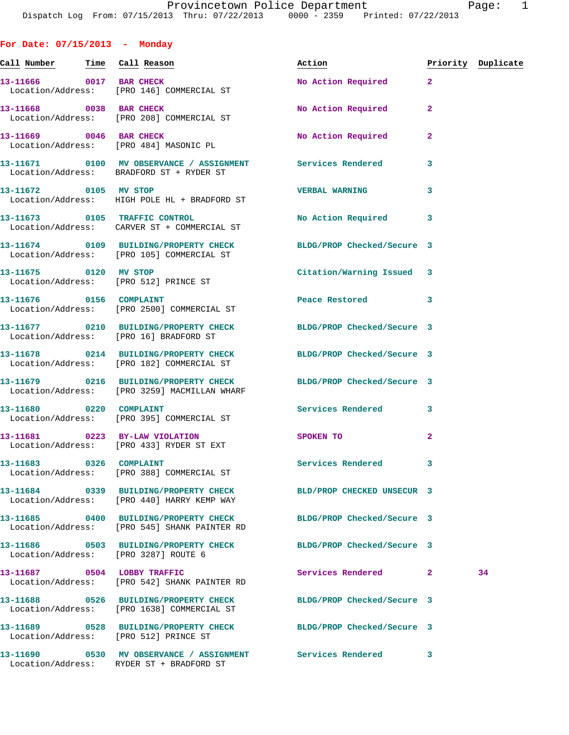**Call Number Time Call Reason Action Priority Duplicate**

**For Date: 07/15/2013 - Monday**

13-11666 0017 BAR CHECK No Action Required 2 Location/Address: [PRO 146] COMMERCIAL ST **13-11668 0038 BAR CHECK No Action Required 2**  Location/Address: [PRO 208] COMMERCIAL ST 13-11669 0046 BAR CHECK No Action Required 2 Location/Address: [PRO 484] MASONIC PL **13-11671 0100 MV OBSERVANCE / ASSIGNMENT Services Rendered 3**  Location/Address: BRADFORD ST + RYDER ST **13-11672 0105 MV STOP VERBAL WARNING 3**  Location/Address: HIGH POLE HL + BRADFORD ST **13-11673 0105 TRAFFIC CONTROL No Action Required 3**  Location/Address: CARVER ST + COMMERCIAL ST **13-11674 0109 BUILDING/PROPERTY CHECK BLDG/PROP Checked/Secure 3**  Location/Address: [PRO 105] COMMERCIAL ST **13-11675 0120 MV STOP Citation/Warning Issued 3**  Location/Address: [PRO 512] PRINCE ST 13-11676 0156 COMPLAINT **13-11676** Peace Restored 3 Location/Address: [PRO 2500] COMMERCIAL ST **13-11677 0210 BUILDING/PROPERTY CHECK BLDG/PROP Checked/Secure 3**  Location/Address: [PRO 16] BRADFORD ST **13-11678 0214 BUILDING/PROPERTY CHECK BLDG/PROP Checked/Secure 3**  Location/Address: [PRO 182] COMMERCIAL ST **13-11679 0216 BUILDING/PROPERTY CHECK BLDG/PROP Checked/Secure 3**  Location/Address: [PRO 3259] MACMILLAN WHARF **13-11680 0220 COMPLAINT Services Rendered 3**  Location/Address: [PRO 395] COMMERCIAL ST **13-11681 0223 BY-LAW VIOLATION SPOKEN TO 2**  Location/Address: [PRO 433] RYDER ST EXT 13-11683 0326 COMPLAINT **Services Rendered** 3 Location/Address: [PRO 388] COMMERCIAL ST **13-11684 0339 BUILDING/PROPERTY CHECK BLD/PROP CHECKED UNSECUR 3**  Location/Address: [PRO 440] HARRY KEMP WAY **13-11685 0400 BUILDING/PROPERTY CHECK BLDG/PROP Checked/Secure 3**  Location/Address: [PRO 545] SHANK PAINTER RD **13-11686 0503 BUILDING/PROPERTY CHECK BLDG/PROP Checked/Secure 3**  Location/Address: [PRO 3287] ROUTE 6 **13-11687 0504 LOBBY TRAFFIC Services Rendered 2 34**  Location/Address: [PRO 542] SHANK PAINTER RD **13-11688 0526 BUILDING/PROPERTY CHECK BLDG/PROP Checked/Secure 3**  Location/Address: [PRO 1638] COMMERCIAL ST **13-11689 0528 BUILDING/PROPERTY CHECK BLDG/PROP Checked/Secure 3**  Location/Address: [PRO 512] PRINCE ST **13-11690 0530 MV OBSERVANCE / ASSIGNMENT Services Rendered 3**  Location/Address: RYDER ST + BRADFORD ST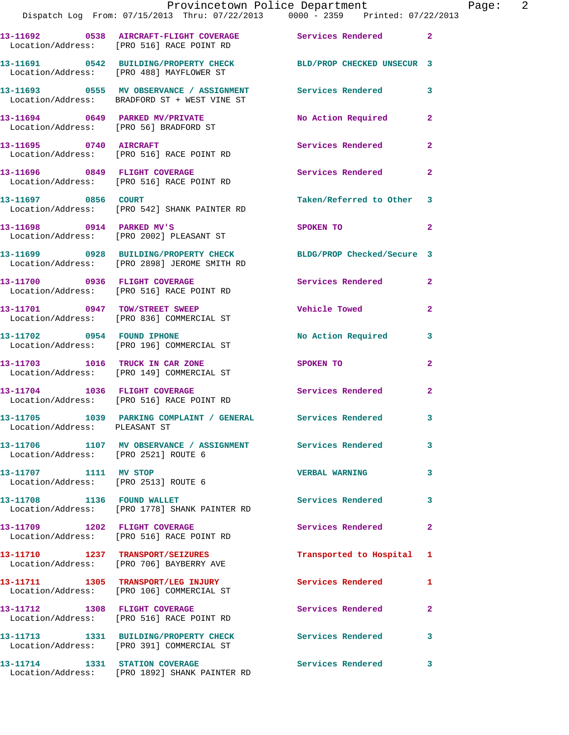|                                                               | Provincetown Police Department<br>Dispatch Log From: 07/15/2013 Thru: 07/22/2013 0000 - 2359 Printed: 07/22/2013 |                           |                |
|---------------------------------------------------------------|------------------------------------------------------------------------------------------------------------------|---------------------------|----------------|
|                                                               | 13-11692 0538 AIRCRAFT-FLIGHT COVERAGE Services Rendered 2<br>Location/Address: [PRO 516] RACE POINT RD          |                           |                |
|                                                               | 13-11691 0542 BUILDING/PROPERTY CHECK BLD/PROP CHECKED UNSECUR 3<br>Location/Address: [PRO 488] MAYFLOWER ST     |                           |                |
|                                                               | 13-11693 0555 MV OBSERVANCE / ASSIGNMENT Services Rendered 3<br>Location/Address: BRADFORD ST + WEST VINE ST     |                           |                |
|                                                               | 13-11694 0649 PARKED MV/PRIVATE<br>Location/Address: [PRO 56] BRADFORD ST                                        | No Action Required        | $\overline{2}$ |
|                                                               | 13-11695 0740 AIRCRAFT<br>Location/Address: [PRO 516] RACE POINT RD                                              | Services Rendered         | $\overline{2}$ |
|                                                               | 13-11696 0849 FLIGHT COVERAGE<br>Location/Address: [PRO 516] RACE POINT RD                                       | Services Rendered         | $\overline{2}$ |
|                                                               | 13-11697 0856 COURT<br>Location/Address: [PRO 542] SHANK PAINTER RD                                              | Taken/Referred to Other 3 |                |
|                                                               | 13-11698      0914   PARKED MV'S<br>Location/Address:    [PRO 2002] PLEASANT ST                                  | SPOKEN TO                 | $\overline{2}$ |
|                                                               | 13-11699 0928 BUILDING/PROPERTY CHECK BLDG/PROP Checked/Secure 3<br>Location/Address: [PRO 2898] JEROME SMITH RD |                           |                |
|                                                               | 13-11700 0936 FLIGHT COVERAGE<br>Location/Address: [PRO 516] RACE POINT RD                                       | Services Rendered         | $\overline{2}$ |
|                                                               | 13-11701 0947 TOW/STREET SWEEP<br>Location/Address: [PRO 836] COMMERCIAL ST                                      | <b>Vehicle Towed</b>      | $\overline{2}$ |
|                                                               | 13-11702 0954 FOUND IPHONE<br>Location/Address: [PRO 196] COMMERCIAL ST                                          | No Action Required        | 3              |
|                                                               | 13-11703    1016    TRUCK IN CAR ZONE<br>Location/Address: [PRO 149] COMMERCIAL ST                               | <b>SPOKEN TO</b>          | $\overline{2}$ |
|                                                               | 13-11704 1036 FLIGHT COVERAGE<br>Location/Address: [PRO 516] RACE POINT RD                                       | Services Rendered         | $\overline{2}$ |
| Location/Address: PLEASANT ST                                 | 13-11705 1039 PARKING COMPLAINT / GENERAL Services Rendered                                                      |                           | 3.             |
| Location/Address: [PRO 2521] ROUTE 6                          | 13-11706 1107 MV OBSERVANCE / ASSIGNMENT Services Rendered 3                                                     |                           |                |
| 13-11707 1111 MV STOP<br>Location/Address: [PRO 2513] ROUTE 6 |                                                                                                                  | <b>VERBAL WARNING</b>     | 3              |
| 13-11708 1136 FOUND WALLET                                    | Location/Address: [PRO 1778] SHANK PAINTER RD                                                                    | <b>Services Rendered</b>  | 3              |
|                                                               | 13-11709 1202 FLIGHT COVERAGE<br>Location/Address: [PRO 516] RACE POINT RD                                       | Services Rendered         | $\mathbf{2}$   |
|                                                               | 13-11710 1237 TRANSPORT/SEIZURES<br>Location/Address: [PRO 706] BAYBERRY AVE                                     | Transported to Hospital 1 |                |
|                                                               | 13-11711 1305 TRANSPORT/LEG INJURY<br>Location/Address: [PRO 106] COMMERCIAL ST                                  | Services Rendered         | 1              |
|                                                               | 13-11712 1308 FLIGHT COVERAGE<br>Location/Address: [PRO 516] RACE POINT RD                                       | Services Rendered         | $\mathbf{2}$   |
|                                                               | 13-11713 1331 BUILDING/PROPERTY CHECK<br>Location/Address: [PRO 391] COMMERCIAL ST                               | Services Rendered         | $\mathbf{3}$   |
| 13-11714 1331 STATION COVERAGE                                |                                                                                                                  | Services Rendered         | 3              |

Location/Address: [PRO 1892] SHANK PAINTER RD

Page: 2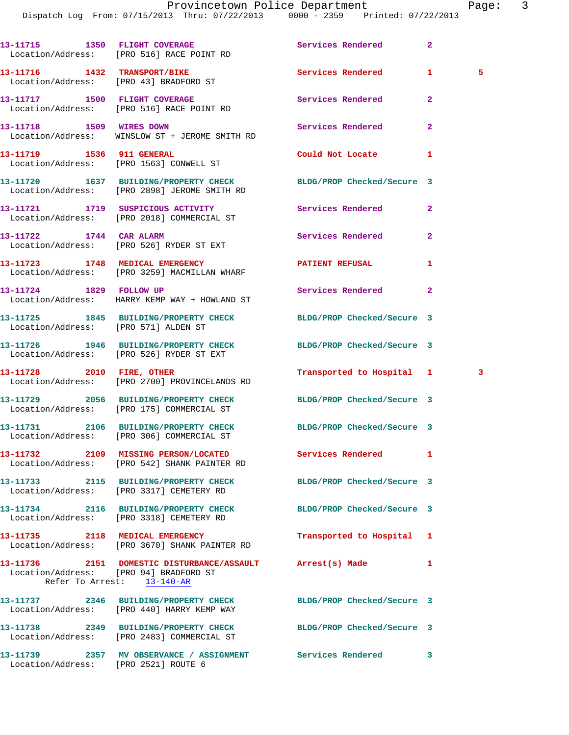**13-11715 1350 FLIGHT COVERAGE Services Rendered 2**  Location/Address: [PRO 516] RACE POINT RD **13-11716 1432 TRANSPORT/BIKE Services Rendered 1 5**  Location/Address: [PRO 43] BRADFORD ST **13-11717 1500 FLIGHT COVERAGE Services Rendered 2**  Location/Address: [PRO 516] RACE POINT RD **13-11718 1509 WIRES DOWN Services Rendered 2**  Location/Address: WINSLOW ST + JEROME SMITH RD **13-11719 1536 911 GENERAL Could Not Locate 1**  Location/Address: [PRO 1563] CONWELL ST **13-11720 1637 BUILDING/PROPERTY CHECK BLDG/PROP Checked/Secure 3**  Location/Address: [PRO 2898] JEROME SMITH RD **13-11721 1719 SUSPICIOUS ACTIVITY Services Rendered 2**  Location/Address: [PRO 2018] COMMERCIAL ST **13-11722 1744 CAR ALARM Services Rendered 2**  Location/Address: [PRO 526] RYDER ST EXT **13-11723 1748 MEDICAL EMERGENCY PATIENT REFUSAL 1**  Location/Address: [PRO 3259] MACMILLAN WHARF **13-11724 1829 FOLLOW UP Services Rendered 2**  Location/Address: HARRY KEMP WAY + HOWLAND ST **13-11725 1845 BUILDING/PROPERTY CHECK BLDG/PROP Checked/Secure 3**  Location/Address: [PRO 571] ALDEN ST **13-11726 1946 BUILDING/PROPERTY CHECK BLDG/PROP Checked/Secure 3**  Location/Address: [PRO 526] RYDER ST EXT **13-11728 2010 FIRE, OTHER Transported to Hospital 1 3**  Location/Address: [PRO 2700] PROVINCELANDS RD **13-11729 2056 BUILDING/PROPERTY CHECK BLDG/PROP Checked/Secure 3**  Location/Address: [PRO 175] COMMERCIAL ST **13-11731 2106 BUILDING/PROPERTY CHECK BLDG/PROP Checked/Secure 3**  Location/Address: [PRO 306] COMMERCIAL ST **13-11732 2109 MISSING PERSON/LOCATED Services Rendered 1**  Location/Address: [PRO 542] SHANK PAINTER RD **13-11733 2115 BUILDING/PROPERTY CHECK BLDG/PROP Checked/Secure 3**  Location/Address: [PRO 3317] CEMETERY RD **13-11734 2116 BUILDING/PROPERTY CHECK BLDG/PROP Checked/Secure 3**  Location/Address: [PRO 3318] CEMETERY RD **13-11735 2118 MEDICAL EMERGENCY Transported to Hospital 1**  Location/Address: [PRO 3670] SHANK PAINTER RD **13-11736 2151 DOMESTIC DISTURBANCE/ASSAULT Arrest(s) Made 1**  Location/Address: [PRO 94] BRADFORD ST Refer To Arrest: 13-140-AR **13-11737 2346 BUILDING/PROPERTY CHECK BLDG/PROP Checked/Secure 3**  Location/Address: [PRO 440] HARRY KEMP WAY **13-11738 2349 BUILDING/PROPERTY CHECK BLDG/PROP Checked/Secure 3**  Location/Address: [PRO 2483] COMMERCIAL ST **13-11739 2357 MV OBSERVANCE / ASSIGNMENT Services Rendered 3**  Location/Address: [PRO 2521] ROUTE 6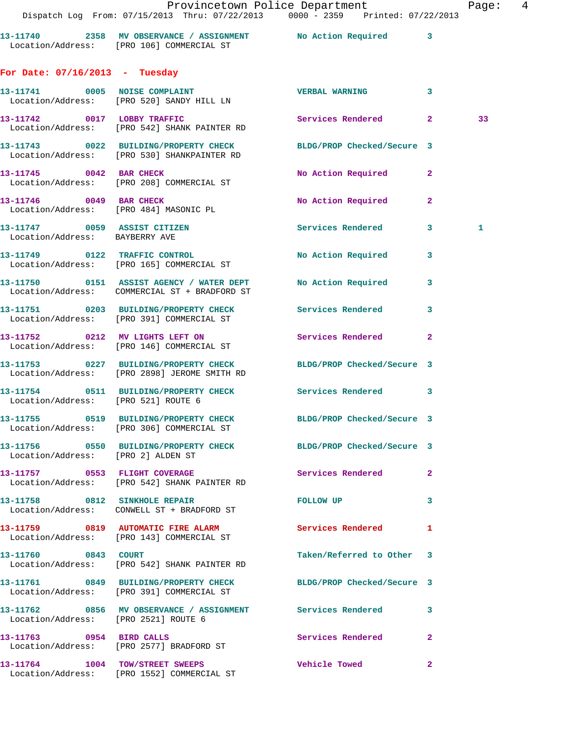| 13-11740          | 2358 MV OBSERVANCE / ASSIGNMENT | No Action Required |  |
|-------------------|---------------------------------|--------------------|--|
| Location/Address: | PRO 1061 COMMERCIAL ST          |                    |  |

## **For Date: 07/16/2013 - Tuesday**

|                                                                | 13-11741 0005 NOISE COMPLAINT<br>Location/Address: [PRO 520] SANDY HILL LN                                              | <b>VERBAL WARNING</b>      | $\mathbf{3}$   |    |
|----------------------------------------------------------------|-------------------------------------------------------------------------------------------------------------------------|----------------------------|----------------|----|
|                                                                | 13-11742 0017 LOBBY TRAFFIC<br>Location/Address: [PRO 542] SHANK PAINTER RD                                             | Services Rendered 2        |                | 33 |
|                                                                | 13-11743 0022 BUILDING/PROPERTY CHECK BLDG/PROP Checked/Secure 3<br>Location/Address: [PRO 530] SHANKPAINTER RD         |                            |                |    |
|                                                                | 13-11745 0042 BAR CHECK<br>Location/Address: [PRO 208] COMMERCIAL ST                                                    | No Action Required         | $\mathbf{2}$   |    |
| 13-11746 0049 BAR CHECK                                        | Location/Address: [PRO 484] MASONIC PL                                                                                  | No Action Required         | $\mathbf{2}$   |    |
| 13-11747 0059 ASSIST CITIZEN<br>Location/Address: BAYBERRY AVE |                                                                                                                         | Services Rendered          | 3              | 1  |
|                                                                | 13-11749 0122 TRAFFIC CONTROL<br>Location/Address: [PRO 165] COMMERCIAL ST                                              | No Action Required 3       |                |    |
|                                                                | 13-11750     0151 ASSIST AGENCY / WATER DEPT      No Action Required<br>Location/Address:   COMMERCIAL ST + BRADFORD ST |                            | 3              |    |
|                                                                | 13-11751 0203 BUILDING/PROPERTY CHECK<br>Location/Address: [PRO 391] COMMERCIAL ST                                      | Services Rendered          | 3              |    |
|                                                                | 13-11752 0212 MV LIGHTS LEFT ON<br>Location/Address: [PRO 146] COMMERCIAL ST                                            | Services Rendered          | $\overline{a}$ |    |
|                                                                | 13-11753 0227 BUILDING/PROPERTY CHECK BLDG/PROP Checked/Secure 3<br>Location/Address: [PRO 2898] JEROME SMITH RD        |                            |                |    |
| Location/Address: [PRO 521] ROUTE 6                            | 13-11754 0511 BUILDING/PROPERTY CHECK Services Rendered 3                                                               |                            |                |    |
|                                                                | 13-11755 0519 BUILDING/PROPERTY CHECK BLDG/PROP Checked/Secure 3<br>Location/Address: [PRO 306] COMMERCIAL ST           |                            |                |    |
| Location/Address: [PRO 2] ALDEN ST                             | 13-11756 0550 BUILDING/PROPERTY CHECK BLDG/PROP Checked/Secure 3                                                        |                            |                |    |
|                                                                | 13-11757 0553 FLIGHT COVERAGE<br>Location/Address: [PRO 542] SHANK PAINTER RD                                           | Services Rendered          | $\mathbf{2}$   |    |
| 13-11758 0812                                                  | <b>SINKHOLE REPAIR</b><br>Location/Address: CONWELL ST + BRADFORD ST                                                    | <b>FOLLOW UP</b>           | 3              |    |
|                                                                | 13-11759 0819 AUTOMATIC FIRE ALARM<br>Location/Address: [PRO 143] COMMERCIAL ST                                         | <b>Services Rendered</b>   | 1              |    |
| 13-11760 0843 COURT                                            | Location/Address: [PRO 542] SHANK PAINTER RD                                                                            | Taken/Referred to Other 3  |                |    |
|                                                                | 13-11761 0849 BUILDING/PROPERTY CHECK<br>Location/Address: [PRO 391] COMMERCIAL ST                                      | BLDG/PROP Checked/Secure 3 |                |    |
| Location/Address: [PRO 2521] ROUTE 6                           | 13-11762 0856 MV OBSERVANCE / ASSIGNMENT Services Rendered                                                              |                            | 3              |    |
| 13-11763 0954 BIRD CALLS                                       | Location/Address: [PRO 2577] BRADFORD ST                                                                                | Services Rendered          | $\mathbf{2}$   |    |
|                                                                | 13-11764 1004 TOW/STREET SWEEPS<br>Location/Address: [PRO 1552] COMMERCIAL ST                                           | <b>Vehicle Towed</b>       | $\mathbf{2}$   |    |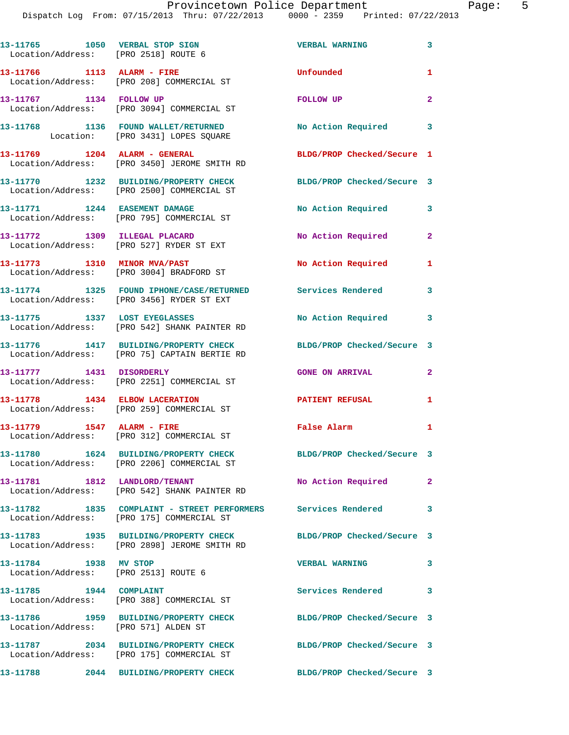**13-11765 1050 VERBAL STOP SIGN VERBAL WARNING 3**  Location/Address: [PRO 2518] ROUTE 6 **13-11766 1113 ALARM - FIRE Unfounded 1**  Location/Address: [PRO 208] COMMERCIAL ST **13-11767 1134 FOLLOW UP FOLLOW UP 2**  Location/Address: [PRO 3094] COMMERCIAL ST **13-11768 1136 FOUND WALLET/RETURNED No Action Required 3**  Location: [PRO 3431] LOPES SQUARE **13-11769 1204 ALARM - GENERAL BLDG/PROP Checked/Secure 1**  Location/Address: [PRO 3450] JEROME SMITH RD **13-11770 1232 BUILDING/PROPERTY CHECK BLDG/PROP Checked/Secure 3**  Location/Address: [PRO 2500] COMMERCIAL ST **13-11771 1244 EASEMENT DAMAGE No Action Required 3**  Location/Address: [PRO 795] COMMERCIAL ST **13-11772 1309 ILLEGAL PLACARD No Action Required 2**  Location/Address: [PRO 527] RYDER ST EXT **13-11773 1310 MINOR MVA/PAST No Action Required 1**  Location/Address: [PRO 3004] BRADFORD ST **13-11774 1325 FOUND IPHONE/CASE/RETURNED Services Rendered 3**  Location/Address: [PRO 3456] RYDER ST EXT **13-11775 1337 LOST EYEGLASSES No Action Required 3**  Location/Address: [PRO 542] SHANK PAINTER RD **13-11776 1417 BUILDING/PROPERTY CHECK BLDG/PROP Checked/Secure 3**  Location/Address: [PRO 75] CAPTAIN BERTIE RD **13-11777 1431 DISORDERLY GONE ON ARRIVAL 2**  Location/Address: [PRO 2251] COMMERCIAL ST **13-11778 1434 ELBOW LACERATION PATIENT REFUSAL 1**  Location/Address: [PRO 259] COMMERCIAL ST 13-11779 1547 ALARM - FIRE False Alarm 1 Location/Address: [PRO 312] COMMERCIAL ST **13-11780 1624 BUILDING/PROPERTY CHECK BLDG/PROP Checked/Secure 3**  Location/Address: [PRO 2206] COMMERCIAL ST **13-11781 1812 LANDLORD/TENANT No Action Required 2**  Location/Address: [PRO 542] SHANK PAINTER RD **13-11782 1835 COMPLAINT - STREET PERFORMERS Services Rendered 3**  Location/Address: [PRO 175] COMMERCIAL ST **13-11783 1935 BUILDING/PROPERTY CHECK BLDG/PROP Checked/Secure 3**  Location/Address: [PRO 2898] JEROME SMITH RD **13-11784 1938 MV STOP VERBAL WARNING 3**  Location/Address: [PRO 2513] ROUTE 6 **13-11785 1944 COMPLAINT Services Rendered 3**  Location/Address: [PRO 388] COMMERCIAL ST **13-11786 1959 BUILDING/PROPERTY CHECK BLDG/PROP Checked/Secure 3**  Location/Address: [PRO 571] ALDEN ST **13-11787 2034 BUILDING/PROPERTY CHECK BLDG/PROP Checked/Secure 3**  Location/Address: [PRO 175] COMMERCIAL ST **13-11788 2044 BUILDING/PROPERTY CHECK BLDG/PROP Checked/Secure 3**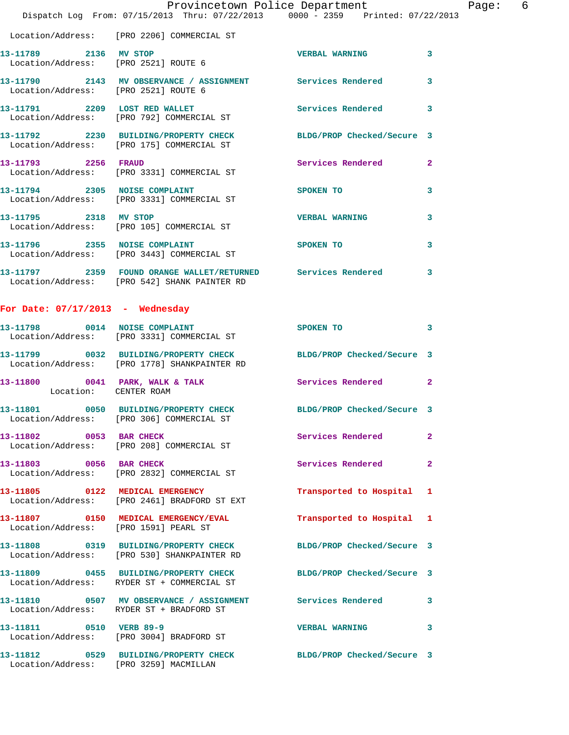|                                      | Provincetown Police Department                                                                               |                            |                         |
|--------------------------------------|--------------------------------------------------------------------------------------------------------------|----------------------------|-------------------------|
|                                      | Dispatch Log From: 07/15/2013 Thru: 07/22/2013 0000 - 2359 Printed: 07/22/2013                               |                            |                         |
|                                      | Location/Address: [PRO 2206] COMMERCIAL ST                                                                   |                            |                         |
| 13-11789 2136 MV STOP                | Location/Address: [PRO 2521] ROUTE 6                                                                         | <b>VERBAL WARNING</b>      | 3                       |
| Location/Address: [PRO 2521] ROUTE 6 | 13-11790 2143 MV OBSERVANCE / ASSIGNMENT Services Rendered                                                   |                            | 3                       |
|                                      | 13-11791 2209 LOST RED WALLET<br>Location/Address: [PRO 792] COMMERCIAL ST                                   | Services Rendered          | 3                       |
|                                      | 13-11792 2230 BUILDING/PROPERTY CHECK<br>Location/Address: [PRO 175] COMMERCIAL ST                           | BLDG/PROP Checked/Secure 3 |                         |
| 13-11793 2256 FRAUD                  | Location/Address: [PRO 3331] COMMERCIAL ST                                                                   | Services Rendered          | $\overline{2}$          |
| 13-11794 2305 NOISE COMPLAINT        | Location/Address: [PRO 3331] COMMERCIAL ST                                                                   | SPOKEN TO                  | 3                       |
| 13-11795 2318 MV STOP                | Location/Address: [PRO 105] COMMERCIAL ST                                                                    | <b>VERBAL WARNING</b>      | 3                       |
|                                      | 13-11796 2355 NOISE COMPLAINT<br>Location/Address: [PRO 3443] COMMERCIAL ST                                  | SPOKEN TO                  | 3                       |
|                                      | 13-11797 2359 FOUND ORANGE WALLET/RETURNED Services Rendered<br>Location/Address: [PRO 542] SHANK PAINTER RD |                            | $\overline{\mathbf{3}}$ |
| For Date: $07/17/2013$ - Wednesday   |                                                                                                              |                            |                         |

Page: 6

## **13-11798 0014 NOISE COMPLAINT SPOKEN TO 3**  Location/Address: [PRO 3331] COMMERCIAL ST **13-11799 0032 BUILDING/PROPERTY CHECK BLDG/PROP Checked/Secure 3**  Location/Address: [PRO 1778] SHANKPAINTER RD 13-11800 0041 PARK, WALK & TALK Services Rendered 2 Location: CENTER ROAM **13-11801 0050 BUILDING/PROPERTY CHECK BLDG/PROP Checked/Secure 3**  Location/Address: [PRO 306] COMMERCIAL ST 13-11802 0053 BAR CHECK Services Rendered 2 Location/Address: [PRO 208] COMMERCIAL ST 13-11803 0056 BAR CHECK **Services Rendered** 2 Location/Address: [PRO 2832] COMMERCIAL ST **13-11805 0122 MEDICAL EMERGENCY Transported to Hospital 1**  Location/Address: [PRO 2461] BRADFORD ST EXT **13-11807 0150 MEDICAL EMERGENCY/EVAL Transported to Hospital 1**  Location/Address: [PRO 1591] PEARL ST **13-11808 0319 BUILDING/PROPERTY CHECK BLDG/PROP Checked/Secure 3**  Location/Address: [PRO 530] SHANKPAINTER RD **13-11809 0455 BUILDING/PROPERTY CHECK BLDG/PROP Checked/Secure 3**  Location/Address: RYDER ST + COMMERCIAL ST **13-11810 0507 MV OBSERVANCE / ASSIGNMENT Services Rendered 3**  Location/Address: RYDER ST + BRADFORD ST **13-11811 0510 VERB 89-9 VERBAL WARNING 3**  Location/Address: [PRO 3004] BRADFORD ST **13-11812 0529 BUILDING/PROPERTY CHECK BLDG/PROP Checked/Secure 3**

Location/Address: [PRO 3259] MACMILLAN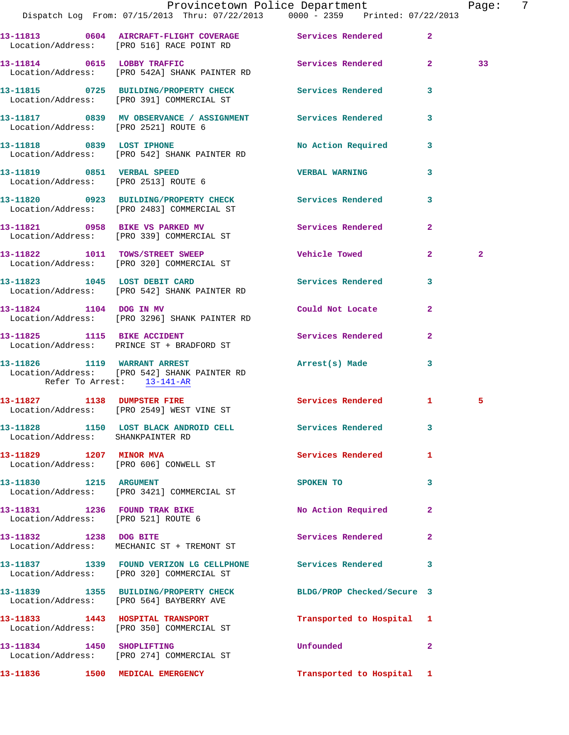|                                                            | Provincetown Police Department                                                                                  |                           |                | Page:          | 7 |
|------------------------------------------------------------|-----------------------------------------------------------------------------------------------------------------|---------------------------|----------------|----------------|---|
|                                                            | Dispatch Log From: 07/15/2013 Thru: 07/22/2013 0000 - 2359 Printed: 07/22/2013                                  |                           |                |                |   |
|                                                            | 13-11813 0604 AIRCRAFT-FLIGHT COVERAGE Services Rendered 2<br>Location/Address: [PRO 516] RACE POINT RD         |                           |                |                |   |
|                                                            | 13-11814 0615 LOBBY TRAFFIC Services Rendered 2<br>Location/Address: [PRO 542A] SHANK PAINTER RD                |                           |                | 33             |   |
|                                                            | 13-11815 0725 BUILDING/PROPERTY CHECK Services Rendered 3<br>Location/Address: [PRO 391] COMMERCIAL ST          |                           |                |                |   |
|                                                            | 13-11817 0839 MV OBSERVANCE / ASSIGNMENT Services Rendered<br>Location/Address: [PRO 2521] ROUTE 6              |                           | $\mathbf{3}$   |                |   |
|                                                            | 13-11818 0839 LOST IPHONE<br>Location/Address: [PRO 542] SHANK PAINTER RD                                       | No Action Required 3      |                |                |   |
| Location/Address: [PRO 2513] ROUTE 6                       | 13-11819 0851 VERBAL SPEED                                                                                      | <b>VERBAL WARNING</b>     | 3              |                |   |
|                                                            | 13-11820 0923 BUILDING/PROPERTY CHECK Services Rendered 3<br>Location/Address: [PRO 2483] COMMERCIAL ST         |                           |                |                |   |
|                                                            | 13-11821 0958 BIKE VS PARKED MV<br>Location/Address: [PRO 339] COMMERCIAL ST                                    | Services Rendered 2       |                |                |   |
|                                                            | 13-11822 1011 TOWS/STREET SWEEP<br>Location/Address: [PRO 320] COMMERCIAL ST                                    | Vehicle Towed 2           |                | $\overline{2}$ |   |
|                                                            | 13-11823 1045 LOST DEBIT CARD<br>Location/Address: [PRO 542] SHANK PAINTER RD                                   | Services Rendered 3       |                |                |   |
| 13-11824 1104 DOG IN MV                                    | Location/Address: [PRO 3296] SHANK PAINTER RD                                                                   | Could Not Locate          | $\overline{2}$ |                |   |
|                                                            | 13-11825 1115 BIKE ACCIDENT<br>Location/Address: PRINCE ST + BRADFORD ST                                        | Services Rendered 2       |                |                |   |
| 13-11826 1119 WARRANT ARREST<br>Refer To Arrest: 13-141-AR | Location/Address: [PRO 542] SHANK PAINTER RD                                                                    | Arrest(s) Made            | 3              |                |   |
|                                                            | 13-11827 1138 DUMPSTER FIRE<br>Location/Address: [PRO 2549] WEST VINE ST                                        | Services Rendered 1       |                | 5              |   |
| Location/Address: SHANKPAINTER RD                          | 13-11828 1150 LOST BLACK ANDROID CELL Services Rendered 3                                                       |                           |                |                |   |
| 13-11829 1207 MINOR MVA                                    | Location/Address: [PRO 606] CONWELL ST                                                                          | Services Rendered 1       |                |                |   |
| 13-11830 1215 ARGUMENT                                     | Location/Address: [PRO 3421] COMMERCIAL ST                                                                      | SPOKEN TO                 | $\mathbf{3}$   |                |   |
| Location/Address: [PRO 521] ROUTE 6                        | 13-11831 1236 FOUND TRAK BIKE                                                                                   | No Action Required        | $\mathbf{2}$   |                |   |
| 13-11832 1238 DOG BITE                                     | Location/Address: MECHANIC ST + TREMONT ST                                                                      | Services Rendered 2       |                |                |   |
|                                                            | 13-11837   1339   FOUND VERIZON LG CELLPHONE   Services Rendered<br>  Location/Address: [PRO 320] COMMERCIAL ST |                           | 3              |                |   |
|                                                            | 13-11839 1355 BUILDING/PROPERTY CHECK BLDG/PROP Checked/Secure 3<br>Location/Address: [PRO 564] BAYBERRY AVE    |                           |                |                |   |
|                                                            | 13-11833 1443 HOSPITAL TRANSPORT<br>Location/Address: [PRO 350] COMMERCIAL ST                                   | Transported to Hospital 1 |                |                |   |
|                                                            | 13-11834 1450 SHOPLIFTING<br>Location/Address: [PRO 274] COMMERCIAL ST                                          | Unfounded                 | $\mathbf{2}$   |                |   |
|                                                            | 13-11836  1500 MEDICAL EMERGENCY                                                                                | Transported to Hospital 1 |                |                |   |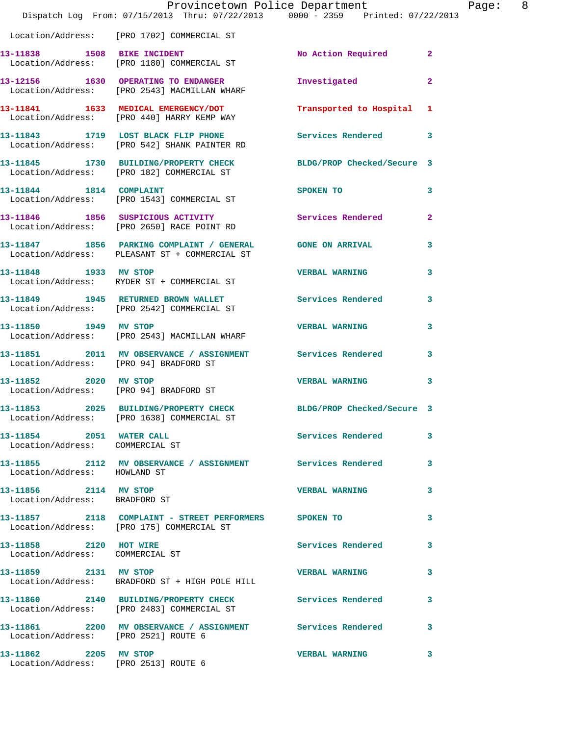|                                                             | Provincetown Police Department<br>Dispatch Log From: 07/15/2013 Thru: 07/22/2013 0000 - 2359 Printed: 07/22/2013 |                                  | Page: 8      |  |
|-------------------------------------------------------------|------------------------------------------------------------------------------------------------------------------|----------------------------------|--------------|--|
|                                                             | Location/Address: [PRO 1702] COMMERCIAL ST                                                                       |                                  |              |  |
|                                                             | 13-11838 1508 BIKE INCIDENT<br>Location/Address: [PRO 1180] COMMERCIAL ST                                        | No Action Required 2             |              |  |
|                                                             | 13-12156 1630 OPERATING TO ENDANGER<br>Location/Address: [PRO 2543] MACMILLAN WHARF                              | Investigated                     | $\mathbf{2}$ |  |
|                                                             | 13-11841 1633 MEDICAL EMERGENCY/DOT Transported to Hospital 1<br>Location/Address: [PRO 440] HARRY KEMP WAY      |                                  |              |  |
|                                                             | 13-11843 1719 LOST BLACK FLIP PHONE Services Rendered 3<br>Location/Address: [PRO 542] SHANK PAINTER RD          |                                  |              |  |
|                                                             | 13-11845 1730 BUILDING/PROPERTY CHECK BLDG/PROP Checked/Secure 3<br>Location/Address: [PRO 182] COMMERCIAL ST    |                                  |              |  |
|                                                             | 13-11844 1814 COMPLAINT<br>Location/Address: [PRO 1543] COMMERCIAL ST                                            | SPOKEN TO AND TO A THE SPOKEN TO | 3            |  |
|                                                             | 13-11846 1856 SUSPICIOUS ACTIVITY<br>Location/Address: [PRO 2650] RACE POINT RD                                  | Services Rendered                | $\mathbf{2}$ |  |
|                                                             | 13-11847 1856 PARKING COMPLAINT / GENERAL GONE ON ARRIVAL<br>Location/Address: PLEASANT ST + COMMERCIAL ST       |                                  | $\mathbf{3}$ |  |
|                                                             | 13-11848 1933 MV STOP<br>Location/Address: RYDER ST + COMMERCIAL ST                                              | VERBAL WARNING 3                 |              |  |
|                                                             | 13-11849 1945 RETURNED BROWN WALLET Services Rendered 3<br>Location/Address: [PRO 2542] COMMERCIAL ST            |                                  |              |  |
| 13-11850 1949 MV STOP                                       | Location/Address: [PRO 2543] MACMILLAN WHARF                                                                     | VERBAL WARNING 3                 |              |  |
| Location/Address: [PRO 94] BRADFORD ST                      | 13-11851 2011 MV OBSERVANCE / ASSIGNMENT Services Rendered 3                                                     |                                  |              |  |
| 13-11852 2020 MV STOP                                       | Location/Address: [PRO 94] BRADFORD ST                                                                           | VERBAL WARNING 3                 |              |  |
|                                                             | 13-11853 2025 BUILDING/PROPERTY CHECK<br>Location/Address: [PRO 1638] COMMERCIAL ST                              | BLDG/PROP Checked/Secure 3       |              |  |
| 13-11854 2051 WATER CALL<br>Location/Address: COMMERCIAL ST |                                                                                                                  | Services Rendered 3              |              |  |
|                                                             | 13-11855 2112 MV OBSERVANCE / ASSIGNMENT Services Rendered 3<br>Location/Address: HOWLAND ST                     |                                  |              |  |
| 13-11856 2114 MV STOP<br>Location/Address: BRADFORD ST      |                                                                                                                  | VERBAL WARNING 3                 |              |  |
|                                                             | 13-11857 2118 COMPLAINT - STREET PERFORMERS SPOKEN TO<br>Location/Address: [PRO 175] COMMERCIAL ST               |                                  | $\mathbf{3}$ |  |
| 13-11858 2120 HOT WIRE<br>Location/Address: COMMERCIAL ST   |                                                                                                                  | Services Rendered 3              |              |  |
|                                                             | 13-11859 2131 MV STOP<br>Location/Address: BRADFORD ST + HIGH POLE HILL                                          | VERBAL WARNING 3                 |              |  |
|                                                             | 13-11860 2140 BUILDING/PROPERTY CHECK Services Rendered 3<br>Location/Address: [PRO 2483] COMMERCIAL ST          |                                  |              |  |
| Location/Address: [PRO 2521] ROUTE 6                        | 13-11861 2200 MV OBSERVANCE / ASSIGNMENT Services Rendered 3                                                     |                                  |              |  |
| 13-11862 2205 MV STOP                                       | Location/Address: [PRO 2513] ROUTE 6                                                                             | <b>VERBAL WARNING 3</b>          |              |  |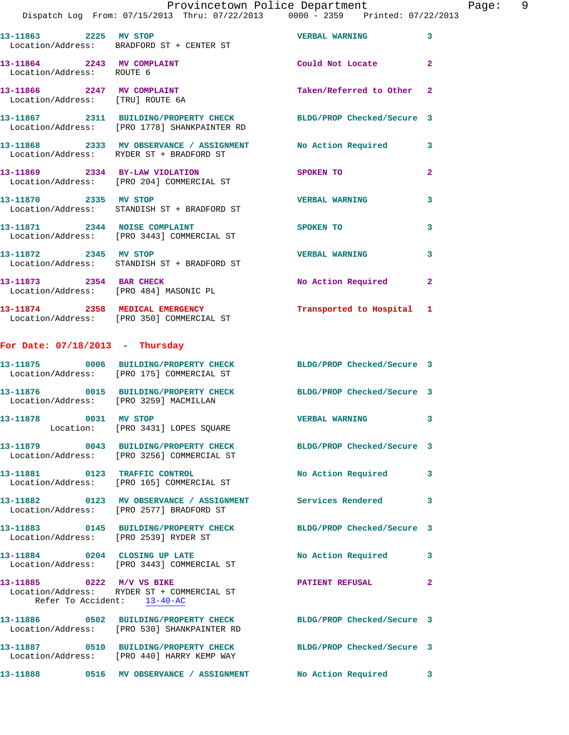|                                                          | Provincetown Police Department<br>Dispatch Log From: 07/15/2013 Thru: 07/22/2013 0000 - 2359 Printed: 07/22/2013 |                           | Page: 9      |
|----------------------------------------------------------|------------------------------------------------------------------------------------------------------------------|---------------------------|--------------|
|                                                          | 13-11863 2225 MV STOP<br>Location/Address: BRADFORD ST + CENTER ST                                               | VERBAL WARNING 3          |              |
| 13-11864 2243 MV COMPLAINT<br>Location/Address: ROUTE 6  |                                                                                                                  | Could Not Locate 2        |              |
|                                                          |                                                                                                                  | Taken/Referred to Other 2 |              |
|                                                          | 13-11867 2311 BUILDING/PROPERTY CHECK BLDG/PROP Checked/Secure 3<br>Location/Address: [PRO 1778] SHANKPAINTER RD |                           |              |
|                                                          | 13-11868 2333 MV OBSERVANCE / ASSIGNMENT No Action Required 3<br>Location/Address: RYDER ST + BRADFORD ST        |                           |              |
|                                                          | 13-11869 2334 BY-LAW VIOLATION<br>Location/Address: [PRO 204] COMMERCIAL ST                                      | <b>SPOKEN TO</b>          | $\mathbf{2}$ |
| 13-11870 2335 MV STOP                                    | Location/Address: STANDISH ST + BRADFORD ST                                                                      | <b>VERBAL WARNING</b>     | $\mathbf{3}$ |
|                                                          | 13-11871 2344 NOISE COMPLAINT<br>Location/Address: [PRO 3443] COMMERCIAL ST                                      | <b>SPOKEN TO</b>          | 3            |
| 13-11872 2345 MV STOP                                    | Location/Address: STANDISH ST + BRADFORD ST                                                                      | <b>VERBAL WARNING</b>     | 3            |
|                                                          | 13-11873 2354 BAR CHECK<br>Location/Address: [PRO 484] MASONIC PL                                                | No Action Required        | $\mathbf{2}$ |
|                                                          | 13-11874 2358 MEDICAL EMERGENCY<br>Location/Address: [PRO 350] COMMERCIAL ST                                     | Transported to Hospital 1 |              |
| For Date: $07/18/2013$ - Thursday                        |                                                                                                                  |                           |              |
|                                                          | 13-11875 0006 BUILDING/PROPERTY CHECK BLDG/PROP Checked/Secure 3<br>Location/Address: [PRO 175] COMMERCIAL ST    |                           |              |
| Location/Address: [PRO 3259] MACMILLAN                   | 13-11876 0015 BUILDING/PROPERTY CHECK BLDG/PROP Checked/Secure 3                                                 |                           |              |
| 13-11878 0031 MV STOP                                    | Location: [PRO 3431] LOPES SQUARE                                                                                | VERBAL WARNING 3          |              |
|                                                          | 13-11879 0043 BUILDING/PROPERTY CHECK BLDG/PROP Checked/Secure 3<br>Location/Address: [PRO 3256] COMMERCIAL ST   |                           |              |
|                                                          | 13-11881 0123 TRAFFIC CONTROL<br>Location/Address: [PRO 165] COMMERCIAL ST                                       | No Action Required 3      |              |
|                                                          | 13-11882 0123 MV OBSERVANCE / ASSIGNMENT Services Rendered 3<br>Location/Address: [PRO 2577] BRADFORD ST         |                           |              |
|                                                          | 13-11883 0145 BUILDING/PROPERTY CHECK BLDG/PROP Checked/Secure 3<br>Location/Address: [PRO 2539] RYDER ST        |                           |              |
|                                                          | 13-11884 0204 CLOSING UP LATE<br>Location/Address: [PRO 3443] COMMERCIAL ST                                      | No Action Required 3      |              |
| 13-11885 0222 M/V VS BIKE<br>Refer To Accident: 13-40-AC | Location/Address: RYDER ST + COMMERCIAL ST                                                                       | <b>PATIENT REFUSAL 2</b>  |              |
|                                                          | 13-11886 0502 BUILDING/PROPERTY CHECK BLDG/PROP Checked/Secure 3<br>Location/Address: [PRO 530] SHANKPAINTER RD  |                           |              |
|                                                          | 13-11887 0510 BUILDING/PROPERTY CHECK BLDG/PROP Checked/Secure 3<br>Location/Address: [PRO 440] HARRY KEMP WAY   |                           |              |
|                                                          | 13-11888 0516 MV OBSERVANCE / ASSIGNMENT No Action Required 3                                                    |                           |              |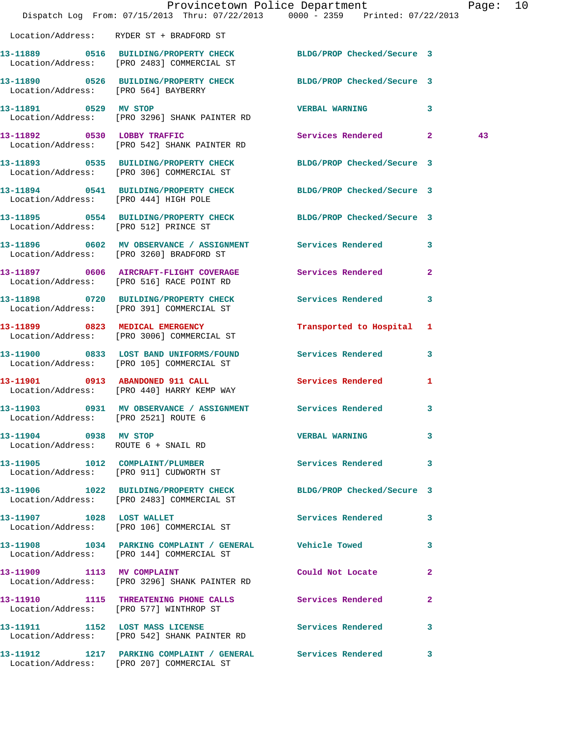|                                       | Dispatch Log From: 07/15/2013 Thru: 07/22/2013 0000 - 2359 Printed: 07/22/2013                                 | Provincetown Police Department      | Page: | 10 |
|---------------------------------------|----------------------------------------------------------------------------------------------------------------|-------------------------------------|-------|----|
|                                       | Location/Address: RYDER ST + BRADFORD ST                                                                       |                                     |       |    |
|                                       | 13-11889 0516 BUILDING/PROPERTY CHECK BLDG/PROP Checked/Secure 3<br>Location/Address: [PRO 2483] COMMERCIAL ST |                                     |       |    |
| Location/Address: [PRO 564] BAYBERRY  | 13-11890 0526 BUILDING/PROPERTY CHECK BLDG/PROP Checked/Secure 3                                               |                                     |       |    |
| 13-11891 0529 MV STOP                 | Location/Address: [PRO 3296] SHANK PAINTER RD                                                                  | VERBAL WARNING 3                    |       |    |
|                                       | 13-11892 0530 LOBBY TRAFFIC<br>Location/Address: [PRO 542] SHANK PAINTER RD                                    | Services Rendered 2                 | 43    |    |
|                                       | 13-11893 0535 BUILDING/PROPERTY CHECK BLDG/PROP Checked/Secure 3<br>Location/Address: [PRO 306] COMMERCIAL ST  |                                     |       |    |
| Location/Address: [PRO 444] HIGH POLE | 13-11894 0541 BUILDING/PROPERTY CHECK BLDG/PROP Checked/Secure 3                                               |                                     |       |    |
| Location/Address: [PRO 512] PRINCE ST | 13-11895 0554 BUILDING/PROPERTY CHECK BLDG/PROP Checked/Secure 3                                               |                                     |       |    |
|                                       | 13-11896 0602 MV OBSERVANCE / ASSIGNMENT Services Rendered 3<br>Location/Address: [PRO 3260] BRADFORD ST       |                                     |       |    |
|                                       | 13-11897 0606 AIRCRAFT-FLIGHT COVERAGE<br>Location/Address: [PRO 516] RACE POINT RD                            | Services Rendered<br>$\overline{2}$ |       |    |
|                                       | 13-11898 0720 BUILDING/PROPERTY CHECK<br>Location/Address: [PRO 391] COMMERCIAL ST                             | <b>Services Rendered</b><br>3       |       |    |
|                                       | 13-11899 0823 MEDICAL EMERGENCY<br>Location/Address: [PRO 3006] COMMERCIAL ST                                  | Transported to Hospital 1           |       |    |
|                                       | 13-11900 0833 LOST BAND UNIFORMS/FOUND Services Rendered 3<br>Location/Address: [PRO 105] COMMERCIAL ST        |                                     |       |    |
|                                       | 13-11901 0913 ABANDONED 911 CALL<br>Location/Address: [PRO 440] HARRY KEMP WAY                                 | Services Rendered<br>1              |       |    |
| Location/Address: [PRO 2521] ROUTE 6  | 13-11903 0931 MV OBSERVANCE / ASSIGNMENT Services Rendered 3                                                   |                                     |       |    |
| 13-11904 0938 MV STOP                 | Location/Address: ROUTE 6 + SNAIL RD                                                                           | VERBAL WARNING 3                    |       |    |
|                                       | 13-11905 1012 COMPLAINT/PLUMBER<br>Location/Address: [PRO 911] CUDWORTH ST                                     | Services Rendered 3                 |       |    |
|                                       | 13-11906 1022 BUILDING/PROPERTY CHECK BLDG/PROP Checked/Secure 3<br>Location/Address: [PRO 2483] COMMERCIAL ST |                                     |       |    |
|                                       | 13-11907 1028 LOST WALLET<br>Location/Address: [PRO 106] COMMERCIAL ST                                         | Services Rendered 3                 |       |    |
|                                       | 13-11908 1034 PARKING COMPLAINT / GENERAL Vehicle Towed 3<br>Location/Address: [PRO 144] COMMERCIAL ST         |                                     |       |    |
|                                       | 13-11909 1113 MV COMPLAINT<br>Location/Address: [PRO 3296] SHANK PAINTER RD                                    | Could Not Locate<br>$\mathbf{2}$    |       |    |
|                                       | 13-11910 1115 THREATENING PHONE CALLS Services Rendered<br>Location/Address: [PRO 577] WINTHROP ST             | $\mathbf{2}$                        |       |    |
|                                       | 13-11911 1152 LOST MASS LICENSE<br>Location/Address: [PRO 542] SHANK PAINTER RD                                | Services Rendered 3                 |       |    |
|                                       | 13-11912 1217 PARKING COMPLAINT / GENERAL Services Rendered 3<br>Location/Address: [PRO 207] COMMERCIAL ST     |                                     |       |    |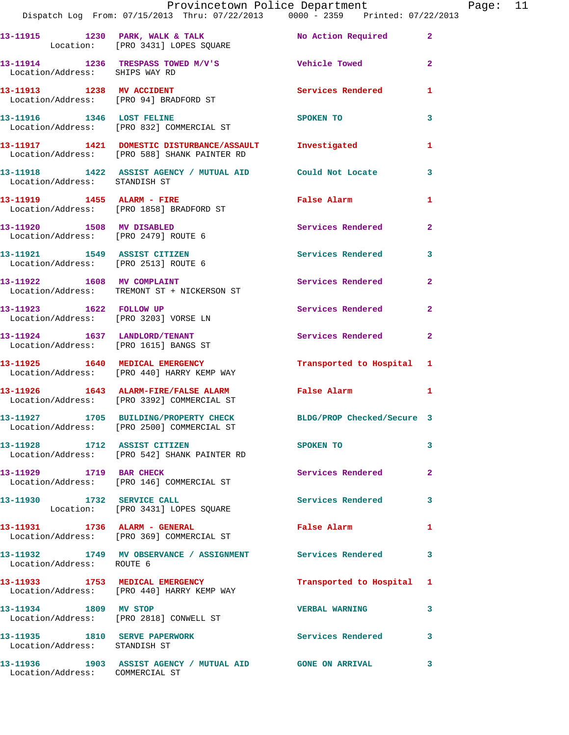|                                 | Provincetown Police Department The Rage: 11<br>Dispatch Log From: 07/15/2013 Thru: 07/22/2013 0000 - 2359 Printed: 07/22/2013 |                              |              |  |
|---------------------------------|-------------------------------------------------------------------------------------------------------------------------------|------------------------------|--------------|--|
|                                 | 13-11915 1230 PARK, WALK & TALK NO Action Required 2<br>Location: [PRO 3431] LOPES SQUARE                                     |                              |              |  |
| Location/Address: SHIPS WAY RD  | 13-11914 1236 TRESPASS TOWED M/V'S Vehicle Towed 2                                                                            |                              |              |  |
|                                 | 13-11913 1238 MV ACCIDENT<br>Location/Address: [PRO 94] BRADFORD ST                                                           | Services Rendered            | 1            |  |
|                                 | 13-11916              1346    LOST FELINE<br>Location/Address:     [PRO 832] COMMERCIAL ST                                    | SPOKEN TO                    | 3            |  |
|                                 | 13-11917   1421   DOMESTIC DISTURBANCE/ASSAULT   Investigated   1<br>Location/Address: [PRO 588] SHANK PAINTER RD             |                              |              |  |
| Location/Address: STANDISH ST   | 13-11918 1422 ASSIST AGENCY / MUTUAL AID Could Not Locate                                                                     |                              | 3            |  |
|                                 | 13-11919    1455    ALARM - FIRE<br>Location/Address: [PRO 1858] BRADFORD ST                                                  | False Alarm                  | 1            |  |
|                                 | 13-11920 1508 MV DISABLED<br>Location/Address: [PRO 2479] ROUTE 6                                                             | Services Rendered            | $\mathbf{2}$ |  |
|                                 | 13-11921 1549 ASSIST CITIZEN<br>Location/Address: [PRO 2513] ROUTE 6                                                          | Services Rendered 3          |              |  |
|                                 | 13-11922 1608 MV COMPLAINT<br>Location/Address: TREMONT ST + NICKERSON ST                                                     | Services Rendered            | $\mathbf{2}$ |  |
|                                 | 13-11923 1622 FOLLOW UP<br>Location/Address: [PRO 3203] VORSE LN                                                              | Services Rendered 2          |              |  |
|                                 | 13-11924 1637 LANDLORD/TENANT<br>Location/Address: [PRO 1615] BANGS ST                                                        | Services Rendered            | $\mathbf{2}$ |  |
|                                 | 13-11925 1640 MEDICAL EMERGENCY Transported to Hospital 1<br>Location/Address: [PRO 440] HARRY KEMP WAY                       |                              |              |  |
|                                 | 13-11926 1643 ALARM-FIRE/FALSE ALARM 5 False Alarm 1<br>Location/Address: [PRO 3392] COMMERCIAL ST                            |                              |              |  |
|                                 | 13-11927 1705 BUILDING/PROPERTY CHECK<br>Location/Address: [PRO 2500] COMMERCIAL ST                                           | BLDG/PROP Checked/Secure 3   |              |  |
|                                 | 13-11928 1712 ASSIST CITIZEN<br>Location/Address: [PRO 542] SHANK PAINTER RD                                                  | SPOKEN TO                    | 3            |  |
| 13-11929 1719 BAR CHECK         | Location/Address: [PRO 146] COMMERCIAL ST                                                                                     | Services Rendered            | $\mathbf{2}$ |  |
|                                 | 13-11930 1732 SERVICE CALL<br>Location: [PRO 3431] LOPES SQUARE                                                               | Services Rendered            | 3            |  |
|                                 | 13-11931 1736 ALARM - GENERAL<br>Location/Address: [PRO 369] COMMERCIAL ST                                                    | False Alarm <b>Example 2</b> | 1            |  |
| Location/Address: ROUTE 6       | 13-11932 1749 MV OBSERVANCE / ASSIGNMENT Services Rendered                                                                    |                              | 3            |  |
|                                 | 13-11933 1753 MEDICAL EMERGENCY<br>Location/Address: [PRO 440] HARRY KEMP WAY                                                 | Transported to Hospital 1    |              |  |
|                                 | 13-11934 1809 MV STOP<br>Location/Address: [PRO 2818] CONWELL ST                                                              | <b>VERBAL WARNING</b>        | 3            |  |
| Location/Address: STANDISH ST   | 13-11935 1810 SERVE PAPERWORK Services Rendered                                                                               |                              | 3            |  |
| Location/Address: COMMERCIAL ST | 13-11936 1903 ASSIST AGENCY / MUTUAL AID GONE ON ARRIVAL                                                                      |                              | 3            |  |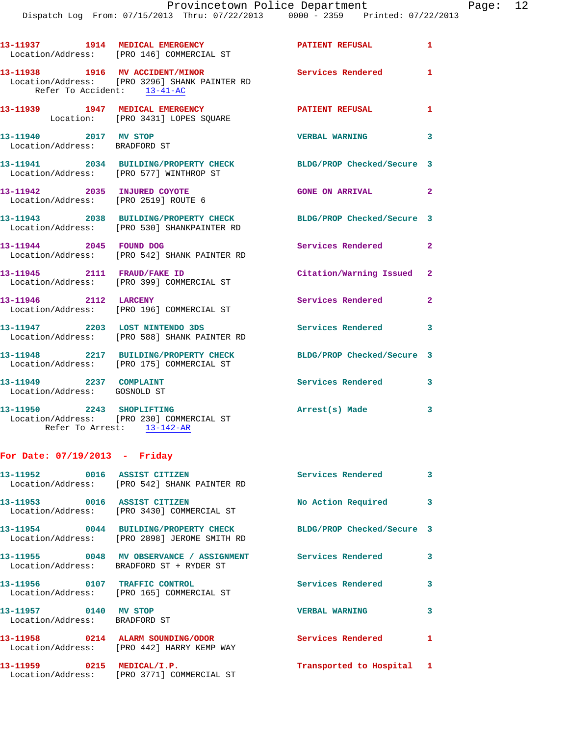|                                                         | 13-11937 1914 MEDICAL EMERGENCY<br>Location/Address: [PRO 146] COMMERCIAL ST                                     | PATIENT REFUSAL            | 1                       |
|---------------------------------------------------------|------------------------------------------------------------------------------------------------------------------|----------------------------|-------------------------|
| Refer To Accident: 13-41-AC                             | 13-11938 1916 MV ACCIDENT/MINOR<br>Location/Address: [PRO 3296] SHANK PAINTER RD                                 | <b>Services Rendered</b>   | 1                       |
|                                                         | 13-11939 1947 MEDICAL EMERGENCY<br>Location: [PRO 3431] LOPES SQUARE                                             | PATIENT REFUSAL            | 1                       |
| 13-11940 2017 MV STOP<br>Location/Address: BRADFORD ST  |                                                                                                                  | <b>VERBAL WARNING</b>      | 3                       |
|                                                         | 13-11941 2034 BUILDING/PROPERTY CHECK<br>Location/Address: [PRO 577] WINTHROP ST                                 | BLDG/PROP Checked/Secure 3 |                         |
| 13-11942 2035 INJURED COYOTE                            | Location/Address: [PRO 2519] ROUTE 6                                                                             | <b>GONE ON ARRIVAL</b>     | $\overline{a}$          |
|                                                         | 13-11943 2038 BUILDING/PROPERTY CHECK<br>Location/Address: [PRO 530] SHANKPAINTER RD                             | BLDG/PROP Checked/Secure 3 |                         |
| 13-11944 2045 FOUND DOG                                 | Location/Address: [PRO 542] SHANK PAINTER RD                                                                     | Services Rendered 2        |                         |
|                                                         | 13-11945 2111 FRAUD/FAKE ID<br>Location/Address: [PRO 399] COMMERCIAL ST                                         | Citation/Warning Issued 2  |                         |
| 13-11946 2112 LARCENY                                   | Location/Address: [PRO 196] COMMERCIAL ST                                                                        | Services Rendered 2        |                         |
|                                                         | 13-11947 2203 LOST NINTENDO 3DS<br>Location/Address: [PRO 588] SHANK PAINTER RD                                  | Services Rendered 3        |                         |
|                                                         | 13-11948 2217 BUILDING/PROPERTY CHECK<br>Location/Address: [PRO 175] COMMERCIAL ST                               | BLDG/PROP Checked/Secure 3 |                         |
| 13-11949 2237 COMPLAINT<br>Location/Address: GOSNOLD ST |                                                                                                                  | Services Rendered          | 3                       |
|                                                         | 13-11950 2243 SHOPLIFTING<br>Location/Address: [PRO 230] COMMERCIAL ST<br>Refer To Arrest: 13-142-AR             | Arrest(s) Made             | 3                       |
| For Date: $07/19/2013$ - Friday                         |                                                                                                                  |                            |                         |
|                                                         | 13-11952 0016 ASSIST CITIZEN<br>Location/Address: [PRO 542] SHANK PAINTER RD                                     | Services Rendered 3        |                         |
| 13-11953 0016 ASSIST CITIZEN                            | Location/Address: [PRO 3430] COMMERCIAL ST                                                                       | No Action Required 3       |                         |
|                                                         | 13-11954 0044 BUILDING/PROPERTY CHECK BLDG/PROP Checked/Secure 3<br>Location/Address: [PRO 2898] JEROME SMITH RD |                            |                         |
|                                                         | 13-11955 0048 MV OBSERVANCE / ASSIGNMENT Services Rendered 3<br>Location/Address: BRADFORD ST + RYDER ST         |                            |                         |
|                                                         | 13-11956 0107 TRAFFIC CONTROL<br>Location/Address: [PRO 165] COMMERCIAL ST                                       | <b>Services Rendered</b>   | 3                       |
| 13-11957 0140 MV STOP<br>Location/Address: BRADFORD ST  |                                                                                                                  | <b>VERBAL WARNING</b>      | $\overline{\mathbf{3}}$ |
|                                                         | 13-11958 0214 ALARM SOUNDING/ODOR<br>Location/Address: [PRO 442] HARRY KEMP WAY                                  | Services Rendered          | $\mathbf{1}$            |
| 13-11959 0215 MEDICAL/I.P.                              | Location/Address: [PRO 3771] COMMERCIAL ST                                                                       | Transported to Hospital 1  |                         |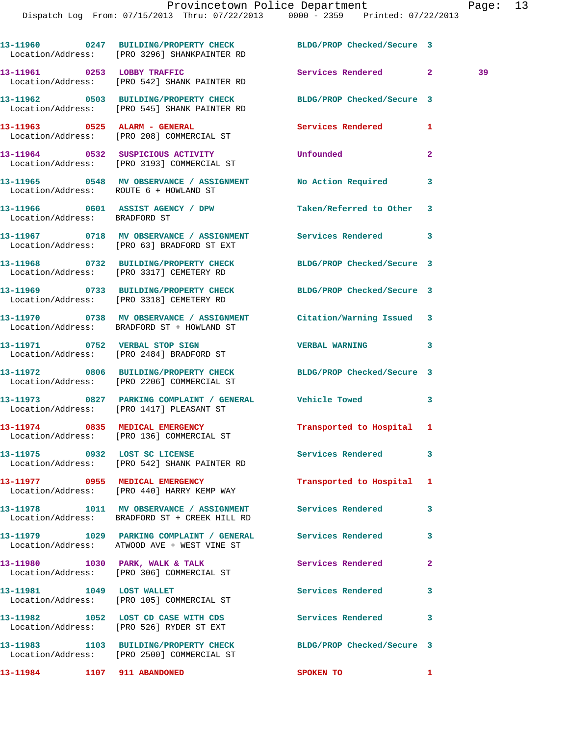|                                        | 13-11960 0247 BUILDING/PROPERTY CHECK BLDG/PROP Checked/Secure 3<br>Location/Address: [PRO 3296] SHANKPAINTER RD |                            |                |    |
|----------------------------------------|------------------------------------------------------------------------------------------------------------------|----------------------------|----------------|----|
|                                        | 13-11961 0253 LOBBY TRAFFIC<br>Location/Address: [PRO 542] SHANK PAINTER RD                                      | Services Rendered 2        |                | 39 |
|                                        | 13-11962 0503 BUILDING/PROPERTY CHECK BLDG/PROP Checked/Secure 3<br>Location/Address: [PRO 545] SHANK PAINTER RD |                            |                |    |
|                                        | Location/Address: [PRO 208] COMMERCIAL ST                                                                        | Services Rendered 1        |                |    |
|                                        | 13-11964 0532 SUSPICIOUS ACTIVITY<br>Location/Address: [PRO 3193] COMMERCIAL ST                                  | Unfounded                  | $\mathbf{2}$   |    |
| Location/Address: ROUTE 6 + HOWLAND ST | 13-11965 0548 MV OBSERVANCE / ASSIGNMENT No Action Required                                                      |                            | 3              |    |
| Location/Address: BRADFORD ST          | 13-11966 0601 ASSIST AGENCY / DPW Taken/Referred to Other                                                        |                            | 3              |    |
|                                        | 13-11967 0718 MV OBSERVANCE / ASSIGNMENT Services Rendered 3<br>Location/Address: [PRO 63] BRADFORD ST EXT       |                            |                |    |
|                                        | 13-11968 0732 BUILDING/PROPERTY CHECK BLDG/PROP Checked/Secure 3<br>Location/Address: [PRO 3317] CEMETERY RD     |                            |                |    |
|                                        | 13-11969 0733 BUILDING/PROPERTY CHECK BLDG/PROP Checked/Secure 3<br>Location/Address: [PRO 3318] CEMETERY RD     |                            |                |    |
|                                        | 13-11970 0738 MV OBSERVANCE / ASSIGNMENT Citation/Warning Issued 3<br>Location/Address: BRADFORD ST + HOWLAND ST |                            |                |    |
|                                        | 13-11971 0752 VERBAL STOP SIGN<br>Location/Address: [PRO 2484] BRADFORD ST                                       | VERBAL WARNING 3           |                |    |
|                                        | 13-11972 0806 BUILDING/PROPERTY CHECK<br>Location/Address: [PRO 2206] COMMERCIAL ST                              | BLDG/PROP Checked/Secure 3 |                |    |
|                                        | 13-11973 0827 PARKING COMPLAINT / GENERAL Vehicle Towed 3<br>Location/Address: [PRO 1417] PLEASANT ST            |                            |                |    |
|                                        | 13-11974 0835 MEDICAL EMERGENCY<br>Location/Address: [PRO 136] COMMERCIAL ST                                     | Transported to Hospital 1  |                |    |
|                                        | 13-11975 0932 LOST SC LICENSE<br>Location/Address: [PRO 542] SHANK PAINTER RD                                    | Services Rendered 3        |                |    |
|                                        | 13-11977 0955 MEDICAL EMERGENCY<br>Location/Address: [PRO 440] HARRY KEMP WAY                                    | Transported to Hospital 1  |                |    |
|                                        | 13-11978 1011 MV OBSERVANCE / ASSIGNMENT Services Rendered<br>Location/Address: BRADFORD ST + CREEK HILL RD      |                            | 3              |    |
|                                        | 13-11979 1029 PARKING COMPLAINT / GENERAL Services Rendered<br>Location/Address: ATWOOD AVE + WEST VINE ST       |                            | 3              |    |
|                                        | 13-11980 1030 PARK, WALK & TALK<br>Location/Address: [PRO 306] COMMERCIAL ST                                     | <b>Services Rendered</b>   | $\overline{2}$ |    |
| 13-11981 1049 LOST WALLET              | Location/Address: [PRO 105] COMMERCIAL ST                                                                        | Services Rendered          | 3              |    |
|                                        | 13-11982 1052 LOST CD CASE WITH CDS<br>Location/Address: [PRO 526] RYDER ST EXT                                  | Services Rendered          | 3              |    |
|                                        | 13-11983 1103 BUILDING/PROPERTY CHECK<br>Location/Address: [PRO 2500] COMMERCIAL ST                              | BLDG/PROP Checked/Secure 3 |                |    |
| 13-11984 1107 911 ABANDONED            |                                                                                                                  | SPOKEN TO 1                |                |    |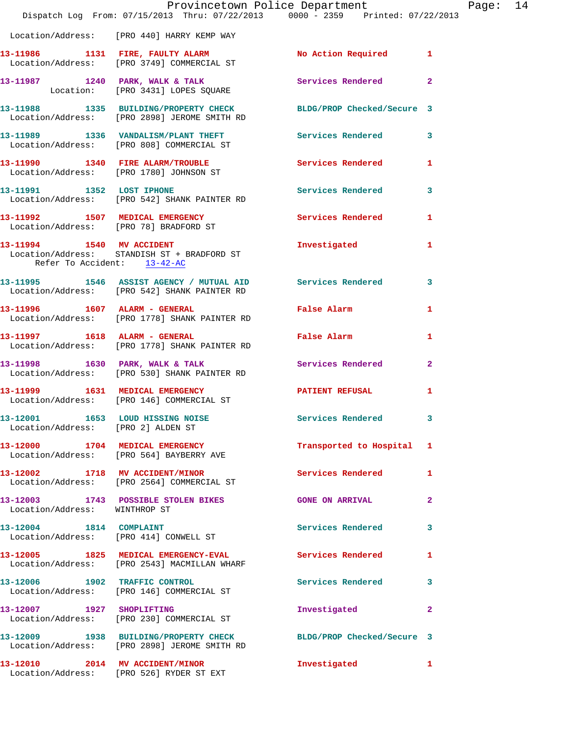|                                                                        | Provincetown Police Department<br>Dispatch Log From: 07/15/2013 Thru: 07/22/2013 0000 - 2359 Printed: 07/22/2013 |                            | P            |
|------------------------------------------------------------------------|------------------------------------------------------------------------------------------------------------------|----------------------------|--------------|
|                                                                        | Location/Address: [PRO 440] HARRY KEMP WAY                                                                       |                            |              |
|                                                                        | 13-11986 1131 FIRE, FAULTY ALARM No Action Required<br>Location/Address: [PRO 3749] COMMERCIAL ST                |                            | 1            |
|                                                                        | 13-11987 1240 PARK, WALK & TALK 1988 Services Rendered<br>Location: [PRO 3431] LOPES SQUARE                      |                            | $\mathbf{2}$ |
|                                                                        | 13-11988 1335 BUILDING/PROPERTY CHECK BLDG/PROP Checked/Secure 3<br>Location/Address: [PRO 2898] JEROME SMITH RD |                            |              |
|                                                                        | 13-11989 1336 VANDALISM/PLANT THEFT Services Rendered<br>Location/Address: [PRO 808] COMMERCIAL ST               |                            | 3            |
|                                                                        | 13-11990 1340 FIRE ALARM/TROUBLE<br>Location/Address: [PRO 1780] JOHNSON ST                                      | Services Rendered          | 1            |
|                                                                        | 13-11991 1352 LOST IPHONE<br>Location/Address: [PRO 542] SHANK PAINTER RD                                        | <b>Services Rendered</b>   | 3            |
|                                                                        | 13-11992 1507 MEDICAL EMERGENCY<br>Location/Address: [PRO 78] BRADFORD ST                                        | Services Rendered          | 1            |
| Refer To Accident: 13-42-AC                                            | 13-11994 1540 MV ACCIDENT<br>Location/Address: STANDISH ST + BRADFORD ST                                         | Investigated               | 1            |
|                                                                        | 13-11995 1546 ASSIST AGENCY / MUTUAL AID Services Rendered<br>Location/Address: [PRO 542] SHANK PAINTER RD       |                            | 3            |
|                                                                        | 13-11996 1607 ALARM - GENERAL<br>Location/Address: [PRO 1778] SHANK PAINTER RD                                   | False Alarm                | 1            |
| 13-11997 1618 ALARM - GENERAL                                          | Location/Address: [PRO 1778] SHANK PAINTER RD                                                                    | <b>False Alarm</b>         | 1            |
|                                                                        | 13-11998 1630 PARK, WALK & TALK<br>Location/Address: [PRO 530] SHANK PAINTER RD                                  | <b>Services Rendered</b>   | $\mathbf{2}$ |
|                                                                        | 13-11999 1631 MEDICAL EMERGENCY<br>Location/Address: [PRO 146] COMMERCIAL ST                                     | PATIENT REFUSAL            | 1            |
| 13-12001 1653 LOUD HISSING NOISE<br>Location/Address: [PRO 2] ALDEN ST |                                                                                                                  | <b>Services Rendered</b>   | 3            |
|                                                                        | 13-12000 1704 MEDICAL EMERGENCY<br>Location/Address: [PRO 564] BAYBERRY AVE                                      | Transported to Hospital    | 1            |
|                                                                        | 13-12002 1718 MV ACCIDENT/MINOR<br>Location/Address: [PRO 2564] COMMERCIAL ST                                    | Services Rendered          | 1            |
| Location/Address: WINTHROP ST                                          | 13-12003 1743 POSSIBLE STOLEN BIKES                                                                              | <b>GONE ON ARRIVAL</b>     | $\mathbf{2}$ |
| 13-12004 1814 COMPLAINT                                                | Location/Address: [PRO 414] CONWELL ST                                                                           | <b>Services Rendered</b>   | 3            |
|                                                                        | 13-12005 1825 MEDICAL EMERGENCY-EVAL Services Rendered<br>Location/Address: [PRO 2543] MACMILLAN WHARF           |                            | 1            |
|                                                                        | 13-12006 1902 TRAFFIC CONTROL<br>Location/Address: [PRO 146] COMMERCIAL ST                                       | Services Rendered          | 3            |
| 13-12007 1927 SHOPLIFTING                                              | Location/Address: [PRO 230] COMMERCIAL ST                                                                        | Investigated               | 2            |
|                                                                        | 13-12009 1938 BUILDING/PROPERTY CHECK<br>Location/Address: [PRO 2898] JEROME SMITH RD                            | BLDG/PROP Checked/Secure 3 |              |
| 13-12010 2014 MV ACCIDENT/MINOR                                        | Location/Address: [PRO 526] RYDER ST EXT                                                                         | Investigated               | 1            |

age: 14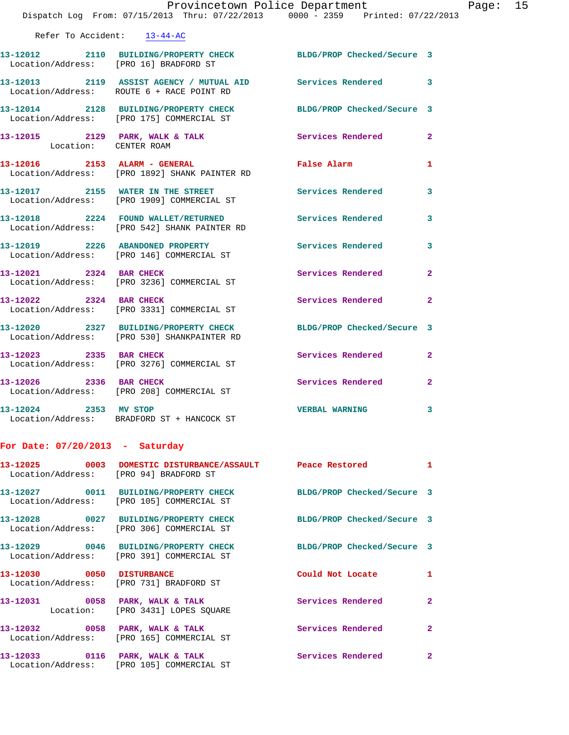|                                                         | Provincetown Police Department<br>Dispatch Log From: 07/15/2013 Thru: 07/22/2013 0000 - 2359 Printed: 07/22/2013 |                            |                |
|---------------------------------------------------------|------------------------------------------------------------------------------------------------------------------|----------------------------|----------------|
|                                                         |                                                                                                                  |                            |                |
| Refer To Accident: 13-44-AC                             |                                                                                                                  |                            |                |
|                                                         | 13-12012 2110 BUILDING/PROPERTY CHECK BLDG/PROP Checked/Secure 3<br>Location/Address: [PRO 16] BRADFORD ST       |                            |                |
|                                                         | 13-12013 2119 ASSIST AGENCY / MUTUAL AID Services Rendered<br>Location/Address: ROUTE 6 + RACE POINT RD          |                            | 3              |
|                                                         | 13-12014 2128 BUILDING/PROPERTY CHECK<br>Location/Address: [PRO 175] COMMERCIAL ST                               | BLDG/PROP Checked/Secure 3 |                |
| Location: CENTER ROAM                                   | 13-12015 2129 PARK, WALK & TALK                                                                                  | <b>Services Rendered</b>   | $\overline{2}$ |
|                                                         | 13-12016 2153 ALARM - GENERAL<br>Location/Address: [PRO 1892] SHANK PAINTER RD                                   | False Alarm                | 1              |
|                                                         | 13-12017 2155 WATER IN THE STREET Services Rendered<br>Location/Address: [PRO 1909] COMMERCIAL ST                |                            | 3              |
|                                                         | 13-12018 2224 FOUND WALLET/RETURNED Services Rendered<br>Location/Address: [PRO 542] SHANK PAINTER RD            |                            | 3              |
|                                                         | 13-12019 2226 ABANDONED PROPERTY<br>Location/Address: [PRO 146] COMMERCIAL ST                                    | <b>Services Rendered</b>   | 3              |
| 13-12021 2324 BAR CHECK                                 | Location/Address: [PRO 3236] COMMERCIAL ST                                                                       | Services Rendered          | $\mathbf{2}$   |
| 13-12022 2324 BAR CHECK                                 | Location/Address: [PRO 3331] COMMERCIAL ST                                                                       | Services Rendered          | $\mathbf{2}$   |
|                                                         | 13-12020 2327 BUILDING/PROPERTY CHECK BLDG/PROP Checked/Secure 3<br>Location/Address: [PRO 530] SHANKPAINTER RD  |                            |                |
| 13-12023 2335 BAR CHECK                                 | Location/Address: [PRO 3276] COMMERCIAL ST                                                                       | Services Rendered          | $\overline{2}$ |
| 13-12026 2336 BAR CHECK                                 | Location/Address: [PRO 208] COMMERCIAL ST                                                                        | Services Rendered          | $\mathbf{2}$   |
| 13-12024                                                | 2353 MV STOP<br>Location/Address: BRADFORD ST + HANCOCK ST                                                       | <b>VERBAL WARNING</b>      | 3              |
| For Date: $07/20/2013$ - Saturday                       |                                                                                                                  |                            |                |
| 13-12025 2014<br>Location/Address: [PRO 94] BRADFORD ST | 0003 DOMESTIC DISTURBANCE/ASSAULT                                                                                | Peace Restored             | 1              |

| Location/Address: [PRO 94] BRADFORD ST | 19-12029 VOOJ DOMBOIIC DIDIOKDANCE/ADDAODI FeaCe KeBCOIEG                                                     |                          |                |
|----------------------------------------|---------------------------------------------------------------------------------------------------------------|--------------------------|----------------|
|                                        | 13-12027 0011 BUILDING/PROPERTY CHECK BLDG/PROP Checked/Secure 3<br>Location/Address: [PRO 105] COMMERCIAL ST |                          |                |
|                                        | 13-12028 0027 BUILDING/PROPERTY CHECK BLDG/PROP Checked/Secure 3<br>Location/Address: [PRO 306] COMMERCIAL ST |                          |                |
|                                        | 13-12029 0046 BUILDING/PROPERTY CHECK BLDG/PROP Checked/Secure 3<br>Location/Address: [PRO 391] COMMERCIAL ST |                          |                |
| 13-12030 0050 DISTURBANCE              | Location/Address: [PRO 731] BRADFORD ST                                                                       | Could Not Locate         | $\mathbf{1}$   |
|                                        | 13-12031 0058 PARK, WALK & TALK<br>Location: [PRO 3431] LOPES SOUARE                                          | <b>Services Rendered</b> | $\overline{2}$ |
|                                        | 13-12032 0058 PARK, WALK & TALK<br>Location/Address: [PRO 165] COMMERCIAL ST                                  | <b>Services Rendered</b> | $\overline{2}$ |
|                                        | $13-12033$ 0116 PARK, WALK & TALK<br>Location/Address: [PRO 105] COMMERCIAL ST                                | Services Rendered        | $\overline{2}$ |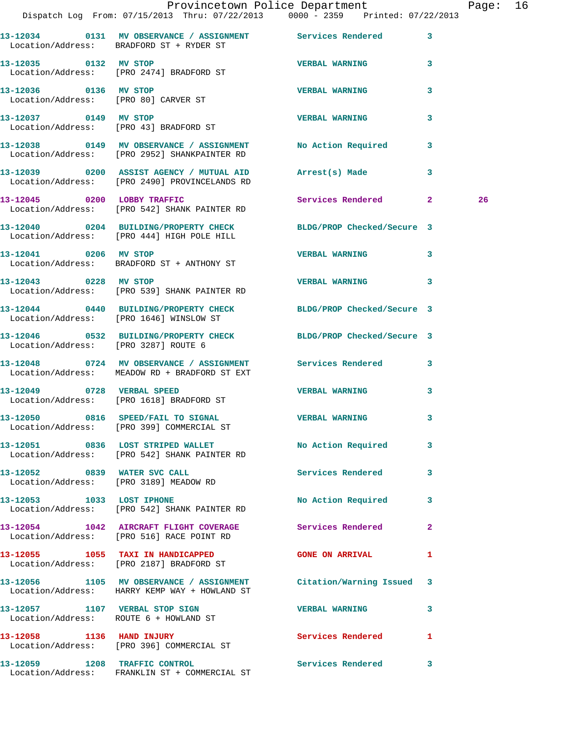|                                      | Provincetown Police Department Fage: 16<br>Dispatch Log From: 07/15/2013 Thru: 07/22/2013 0000 - 2359 Printed: 07/22/2013 |                          |              |    |  |
|--------------------------------------|---------------------------------------------------------------------------------------------------------------------------|--------------------------|--------------|----|--|
|                                      | 13-12034 0131 MV OBSERVANCE / ASSIGNMENT Services Rendered<br>Location/Address: BRADFORD ST + RYDER ST                    |                          | 3            |    |  |
| 13-12035 0132 MV STOP                | Location/Address: [PRO 2474] BRADFORD ST                                                                                  | <b>VERBAL WARNING</b>    | 3            |    |  |
| 13-12036 0136 MV STOP                | Location/Address: [PRO 80] CARVER ST                                                                                      | <b>VERBAL WARNING</b>    | 3            |    |  |
|                                      | 13-12037 0149 MV STOP<br>Location/Address: [PRO 43] BRADFORD ST                                                           | <b>VERBAL WARNING</b>    | 3            |    |  |
|                                      |                                                                                                                           |                          |              |    |  |
|                                      | 13-12039      0200 ASSIST AGENCY / MUTUAL AID      Arrest(s) Made<br>Location/Address: [PRO 2490] PROVINCELANDS RD        |                          | 3            |    |  |
|                                      | 13-12045 0200 LOBBY TRAFFIC<br>Location/Address: [PRO 542] SHANK PAINTER RD                                               | Services Rendered 2      |              | 26 |  |
|                                      | 13-12040 0204 BUILDING/PROPERTY CHECK BLDG/PROP Checked/Secure 3<br>Location/Address: [PRO 444] HIGH POLE HILL            |                          |              |    |  |
| 13-12041 0206 MV STOP                | Location/Address: BRADFORD ST + ANTHONY ST                                                                                | VERBAL WARNING 3         |              |    |  |
|                                      | 13-12043 0228 MV STOP<br>Location/Address: [PRO 539] SHANK PAINTER RD                                                     | <b>VERBAL WARNING</b>    | 3            |    |  |
|                                      | 13-12044 0440 BUILDING/PROPERTY CHECK BLDG/PROP Checked/Secure 3<br>Location/Address: [PRO 1646] WINSLOW ST               |                          |              |    |  |
| Location/Address: [PRO 3287] ROUTE 6 | 13-12046 0532 BUILDING/PROPERTY CHECK BLDG/PROP Checked/Secure 3                                                          |                          |              |    |  |
|                                      | 13-12048 0724 MV OBSERVANCE / ASSIGNMENT Services Rendered 3<br>Location/Address: MEADOW RD + BRADFORD ST EXT             |                          |              |    |  |
|                                      |                                                                                                                           | <b>VERBAL WARNING</b>    | 3            |    |  |
|                                      | 13-12050 0816 SPEED/FAIL TO SIGNAL<br>Location/Address: [PRO 399] COMMERCIAL ST                                           | <b>VERBAL WARNING</b>    |              |    |  |
|                                      | 13-12051 0836 LOST STRIPED WALLET<br>Location/Address: [PRO 542] SHANK PAINTER RD                                         | No Action Required       | 3            |    |  |
| 13-12052 0839 WATER SVC CALL         | Location/Address: [PRO 3189] MEADOW RD                                                                                    | <b>Services Rendered</b> | 3            |    |  |
|                                      | 13-12053 1033 LOST IPHONE<br>Location/Address: [PRO 542] SHANK PAINTER RD                                                 | No Action Required       | 3            |    |  |
|                                      | 13-12054 1042 AIRCRAFT FLIGHT COVERAGE Services Rendered<br>Location/Address: [PRO 516] RACE POINT RD                     |                          | $\mathbf{2}$ |    |  |
|                                      | 13-12055 1055 TAXI IN HANDICAPPED<br>Location/Address: [PRO 2187] BRADFORD ST                                             | <b>GONE ON ARRIVAL</b>   | 1            |    |  |
|                                      | 13-12056 1105 MV OBSERVANCE / ASSIGNMENT Citation/Warning Issued 3<br>Location/Address: HARRY KEMP WAY + HOWLAND ST       |                          |              |    |  |
|                                      | 13-12057 1107 VERBAL STOP SIGN<br>Location/Address: ROUTE 6 + HOWLAND ST                                                  | <b>VERBAL WARNING</b>    | 3            |    |  |
| 13-12058 1136 HAND INJURY            | Location/Address: [PRO 396] COMMERCIAL ST                                                                                 | <b>Services Rendered</b> | 1            |    |  |
|                                      | 13-12059 1208 TRAFFIC CONTROL<br>Location/Address: FRANKLIN ST + COMMERCIAL ST                                            | Services Rendered        | 3            |    |  |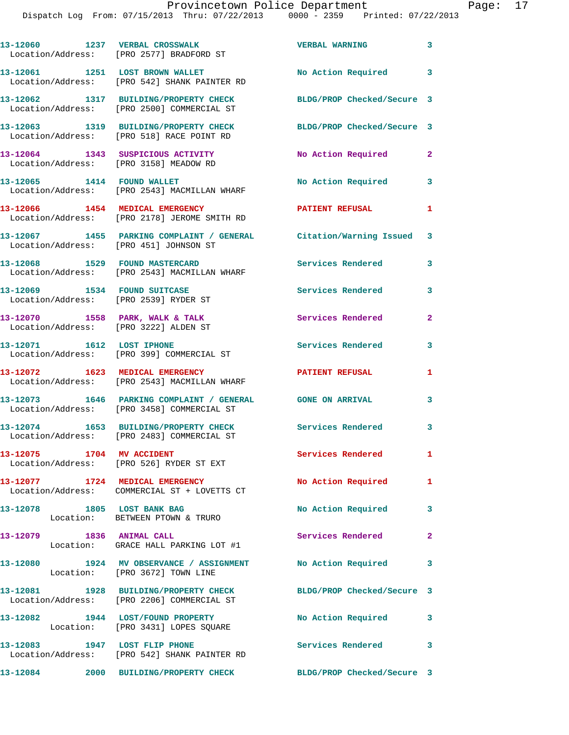|                                                                            | 13-12060 1237 VERBAL CROSSWALK<br>Location/Address: [PRO 2577] BRADFORD ST                              | <b>VERBAL WARNING</b>      | $\overline{\mathbf{3}}$ |
|----------------------------------------------------------------------------|---------------------------------------------------------------------------------------------------------|----------------------------|-------------------------|
|                                                                            | 13-12061 1251 LOST BROWN WALLET<br>Location/Address: [PRO 542] SHANK PAINTER RD                         | No Action Required 3       |                         |
|                                                                            | 13-12062 1317 BUILDING/PROPERTY CHECK<br>Location/Address: [PRO 2500] COMMERCIAL ST                     | BLDG/PROP Checked/Secure 3 |                         |
|                                                                            | 13-12063 1319 BUILDING/PROPERTY CHECK<br>Location/Address: [PRO 518] RACE POINT RD                      | BLDG/PROP Checked/Secure 3 |                         |
| Location/Address: [PRO 3158] MEADOW RD                                     | 13-12064 1343 SUSPICIOUS ACTIVITY                                                                       | No Action Required         | $\mathbf{2}$            |
| 13-12065 1414 FOUND WALLET                                                 | Location/Address: [PRO 2543] MACMILLAN WHARF                                                            | No Action Required         | 3                       |
|                                                                            | 13-12066 1454 MEDICAL EMERGENCY<br>Location/Address: [PRO 2178] JEROME SMITH RD                         | <b>PATIENT REFUSAL</b>     | 1                       |
| Location/Address: [PRO 451] JOHNSON ST                                     | 13-12067 1455 PARKING COMPLAINT / GENERAL Citation/Warning Issued 3                                     |                            |                         |
|                                                                            | 13-12068 1529 FOUND MASTERCARD<br>Location/Address: [PRO 2543] MACMILLAN WHARF                          | <b>Services Rendered</b>   | 3                       |
| 13-12069 1534 FOUND SUITCASE<br>Location/Address: [PRO 2539] RYDER ST      |                                                                                                         | <b>Services Rendered</b>   | 3                       |
| $13-12070$ 1558 PARK, WALK & TALK<br>Location/Address: [PRO 3222] ALDEN ST |                                                                                                         | Services Rendered          | $\mathbf{2}$            |
| 13-12071   1612   LOST IPHONE                                              | Location/Address: [PRO 399] COMMERCIAL ST                                                               | Services Rendered          | 3                       |
|                                                                            | 13-12072 1623 MEDICAL EMERGENCY<br>Location/Address: [PRO 2543] MACMILLAN WHARF                         | <b>PATIENT REFUSAL</b>     | 1                       |
|                                                                            | 13-12073 1646 PARKING COMPLAINT / GENERAL GONE ON ARRIVAL<br>Location/Address: [PRO 3458] COMMERCIAL ST |                            | 3                       |
|                                                                            | 13-12074 1653 BUILDING/PROPERTY CHECK<br>Location/Address: [PRO 2483] COMMERCIAL ST                     | Services Rendered 3        |                         |
| 13-12075 1704 MV ACCIDENT                                                  | Location/Address: [PRO 526] RYDER ST EXT                                                                | Services Rendered          | $\mathbf{1}$            |
|                                                                            | 13-12077 1724 MEDICAL EMERGENCY<br>Location/Address: COMMERCIAL ST + LOVETTS CT                         | No Action Required         | 1                       |
| 13-12078 1805 LOST BANK BAG                                                | Location: BETWEEN PTOWN & TRURO                                                                         | No Action Required         | 3                       |
| 13-12079 1836 ANIMAL CALL                                                  | Location: GRACE HALL PARKING LOT #1                                                                     | <b>Services Rendered</b>   | $\mathbf{2}$            |
|                                                                            | 13-12080 1924 MV OBSERVANCE / ASSIGNMENT<br>Location: [PRO 3672] TOWN LINE                              | No Action Required         | 3                       |
|                                                                            | 13-12081 1928 BUILDING/PROPERTY CHECK<br>Location/Address: [PRO 2206] COMMERCIAL ST                     | BLDG/PROP Checked/Secure 3 |                         |
|                                                                            | 13-12082 1944 LOST/FOUND PROPERTY<br>Location: [PRO 3431] LOPES SQUARE                                  | No Action Required 3       |                         |
|                                                                            | 13-12083 1947 LOST FLIP PHONE<br>Location/Address: [PRO 542] SHANK PAINTER RD                           | Services Rendered 3        |                         |
|                                                                            | 13-12084 2000 BUILDING/PROPERTY CHECK                                                                   | BLDG/PROP Checked/Secure 3 |                         |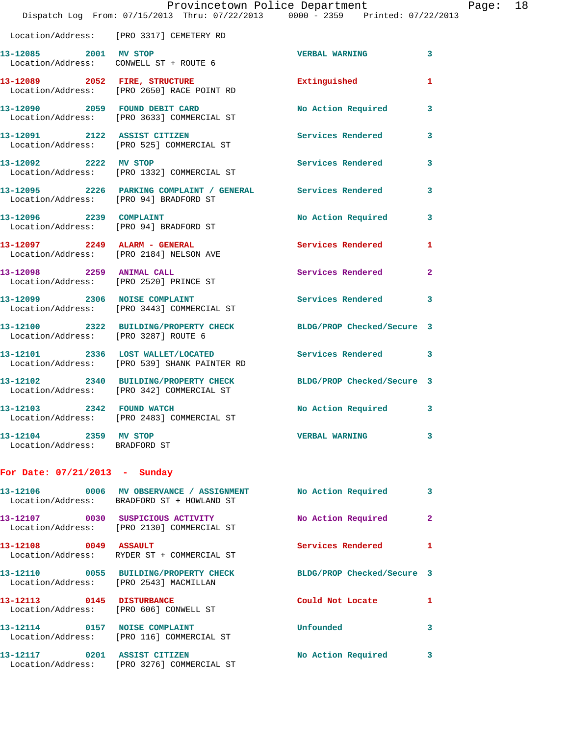|                                                                          | Provincetown Police Department<br>Dispatch Log From: 07/15/2013 Thru: 07/22/2013 0000 - 2359 Printed: 07/22/2013 |                            |              |
|--------------------------------------------------------------------------|------------------------------------------------------------------------------------------------------------------|----------------------------|--------------|
|                                                                          | Location/Address: [PRO 3317] CEMETERY RD                                                                         |                            |              |
| 13-12085 2001 MV STOP                                                    | Location/Address: CONWELL ST + ROUTE 6                                                                           | <b>VERBAL WARNING</b>      | 3            |
|                                                                          | 13-12089 2052 FIRE, STRUCTURE<br>Location/Address: [PRO 2650] RACE POINT RD                                      | Extinguished               | 1            |
|                                                                          | 13-12090 2059 FOUND DEBIT CARD<br>Location/Address: [PRO 3633] COMMERCIAL ST                                     | No Action Required         | 3            |
|                                                                          | 13-12091 2122 ASSIST CITIZEN<br>Location/Address: [PRO 525] COMMERCIAL ST                                        | <b>Services Rendered</b>   | 3            |
| 13-12092 2222 MV STOP                                                    | Location/Address: [PRO 1332] COMMERCIAL ST                                                                       | <b>Services Rendered</b>   | 3            |
| Location/Address: [PRO 94] BRADFORD ST                                   | 13-12095 2226 PARKING COMPLAINT / GENERAL Services Rendered                                                      |                            | 3            |
| 13-12096 2239 COMPLAINT                                                  | Location/Address: [PRO 94] BRADFORD ST                                                                           | No Action Required         | 3            |
| 13-12097 2249 ALARM - GENERAL<br>Location/Address: [PRO 2184] NELSON AVE |                                                                                                                  | Services Rendered          | 1            |
| 13-12098 2259 ANIMAL CALL                                                | Location/Address: [PRO 2520] PRINCE ST                                                                           | Services Rendered          | $\mathbf{2}$ |
|                                                                          | 13-12099 2306 NOISE COMPLAINT<br>Location/Address: [PRO 3443] COMMERCIAL ST                                      | <b>Services Rendered</b>   | 3            |
| Location/Address: [PRO 3287] ROUTE 6                                     | 13-12100 2322 BUILDING/PROPERTY CHECK BLDG/PROP Checked/Secure 3                                                 |                            |              |
|                                                                          | 13-12101 2336 LOST WALLET/LOCATED<br>Location/Address: [PRO 539] SHANK PAINTER RD                                | <b>Services Rendered</b>   | 3            |
|                                                                          | 13-12102 2340 BUILDING/PROPERTY CHECK<br>Location/Address: [PRO 342] COMMERCIAL ST                               | BLDG/PROP Checked/Secure 3 |              |
| 13-12103 2342 FOUND WATCH                                                | Location/Address: [PRO 2483] COMMERCIAL ST                                                                       | No Action Required         | 3            |
| 13-12104 2359 MV STOP<br>Location/Address: BRADFORD ST                   |                                                                                                                  | <b>VERBAL WARNING</b>      | 3            |
| For Date: $07/21/2013$ - Sunday                                          |                                                                                                                  |                            |              |
|                                                                          | 13-12106 0006 MV OBSERVANCE / ASSIGNMENT No Action Required<br>Location/Address: BRADFORD ST + HOWLAND ST        |                            | 3            |
|                                                                          | 13-12107 0030 SUSPICIOUS ACTIVITY<br>Location/Address: [PRO 2130] COMMERCIAL ST                                  | No Action Required         | $\mathbf{2}$ |
| 13-12108 0049 ASSAULT                                                    | Location/Address: RYDER ST + COMMERCIAL ST                                                                       | Services Rendered          | 1            |
| Location/Address: [PRO 2543] MACMILLAN                                   | 13-12110 0055 BUILDING/PROPERTY CHECK                                                                            | BLDG/PROP Checked/Secure 3 |              |
| 13-12113 0145 DISTURBANCE                                                | Location/Address: [PRO 606] CONWELL ST                                                                           | Could Not Locate           | 1            |
|                                                                          | Location/Address: [PRO 116] COMMERCIAL ST                                                                        | Unfounded                  | 3            |
| 13-12117 0201 ASSIST CITIZEN                                             |                                                                                                                  | No Action Required         | 3            |

Location/Address: [PRO 3276] COMMERCIAL ST

Page:  $18$ <br>013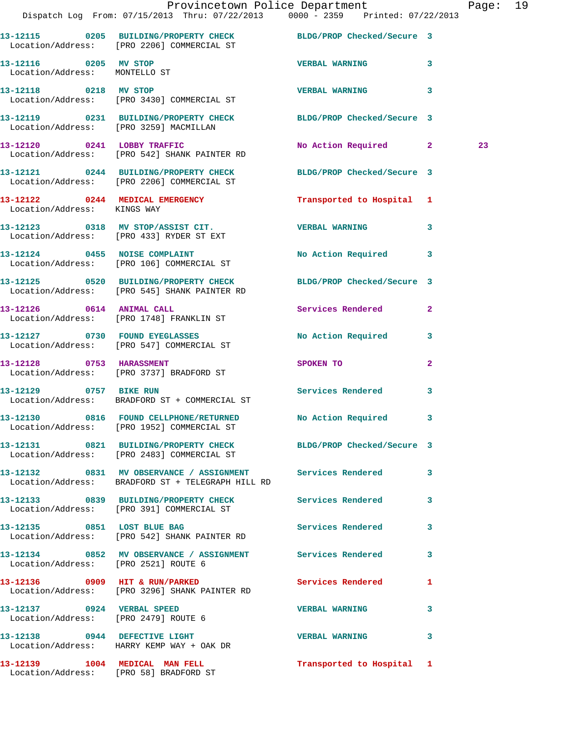|                                                        | Provincetown Police Department The Rage: 19<br>Dispatch Log From: 07/15/2013 Thru: 07/22/2013 0000 - 2359 Printed: 07/22/2013 |                                   |              |    |  |
|--------------------------------------------------------|-------------------------------------------------------------------------------------------------------------------------------|-----------------------------------|--------------|----|--|
|                                                        | 13-12115 0205 BUILDING/PROPERTY CHECK BLDG/PROP Checked/Secure 3<br>Location/Address: [PRO 2206] COMMERCIAL ST                |                                   |              |    |  |
| 13-12116 0205 MV STOP<br>Location/Address: MONTELLO ST |                                                                                                                               | VERBAL WARNING 3                  |              |    |  |
|                                                        | 13-12118 0218 MV STOP<br>Location/Address: [PRO 3430] COMMERCIAL ST                                                           | VERBAL WARNING 3                  |              |    |  |
|                                                        | 13-12119 0231 BUILDING/PROPERTY CHECK BLDG/PROP Checked/Secure 3<br>Location/Address: [PRO 3259] MACMILLAN                    |                                   |              |    |  |
|                                                        | 13-12120 0241 LOBBY TRAFFIC<br>Location/Address: [PRO 542] SHANK PAINTER RD                                                   | No Action Required 2              |              | 23 |  |
|                                                        | 13-12121 0244 BUILDING/PROPERTY CHECK BLDG/PROP Checked/Secure 3<br>Location/Address: [PRO 2206] COMMERCIAL ST                |                                   |              |    |  |
| Location/Address: KINGS WAY                            | 13-12122 0244 MEDICAL EMERGENCY                                                                                               | Transported to Hospital 1         |              |    |  |
|                                                        | 13-12123 0318 MV STOP/ASSIST CIT. THE VERBAL WARNING<br>Location/Address: [PRO 433] RYDER ST EXT                              |                                   | $\mathbf{3}$ |    |  |
|                                                        | 13-12124 0455 NOISE COMPLAINT<br>Location/Address: [PRO 106] COMMERCIAL ST                                                    | No Action Required 3              |              |    |  |
|                                                        | 13-12125 0520 BUILDING/PROPERTY CHECK BLDG/PROP Checked/Secure 3<br>Location/Address: [PRO 545] SHANK PAINTER RD              |                                   |              |    |  |
|                                                        | 13-12126 0614 ANIMAL CALL<br>Location/Address: [PRO 1748] FRANKLIN ST                                                         | Services Rendered 2               |              |    |  |
|                                                        |                                                                                                                               | No Action Required 3              |              |    |  |
|                                                        | 13-12128 0753 HARASSMENT<br>Location/Address: [PRO 3737] BRADFORD ST                                                          | SPOKEN TO AND TO A REAL PROPERTY. | $\mathbf{2}$ |    |  |
|                                                        | 13-12129 0757 BIKE RUN<br>Location/Address: BRADFORD ST + COMMERCIAL ST                                                       | Services Rendered 3               |              |    |  |
|                                                        | 13-12130 0816 FOUND CELLPHONE/RETURNED No Action Required 3<br>Location/Address: [PRO 1952] COMMERCIAL ST                     |                                   |              |    |  |
|                                                        | 13-12131 0821 BUILDING/PROPERTY CHECK BLDG/PROP Checked/Secure 3<br>Location/Address: [PRO 2483] COMMERCIAL ST                |                                   |              |    |  |
|                                                        | 13-12132 0831 MV OBSERVANCE / ASSIGNMENT Services Rendered 3<br>Location/Address: BRADFORD ST + TELEGRAPH HILL RD             |                                   |              |    |  |
|                                                        | 13-12133 0839 BUILDING/PROPERTY CHECK Services Rendered<br>Location/Address: [PRO 391] COMMERCIAL ST                          |                                   | 3            |    |  |
|                                                        | 13-12135 0851 LOST BLUE BAG<br>Location/Address: [PRO 542] SHANK PAINTER RD                                                   | Services Rendered 3               |              |    |  |
| Location/Address: [PRO 2521] ROUTE 6                   | 13-12134 0852 MV OBSERVANCE / ASSIGNMENT Services Rendered                                                                    |                                   | $\mathbf{3}$ |    |  |
|                                                        | 13-12136 0909 HIT & RUN/PARKED Services Rendered 1<br>Location/Address: [PRO 3296] SHANK PAINTER RD                           |                                   |              |    |  |
| Location/Address: [PRO 2479] ROUTE 6                   | 13-12137 0924 VERBAL SPEED                                                                                                    | <b>VERBAL WARNING</b>             | 3            |    |  |
|                                                        | 13-12138 0944 DEFECTIVE LIGHT<br>Location/Address: HARRY KEMP WAY + OAK DR                                                    | <b>VERBAL WARNING</b>             | 3            |    |  |
|                                                        | 13-12139 1004 MEDICAL MAN FELL<br>Location/Address: [PRO 58] BRADFORD ST                                                      | Transported to Hospital 1         |              |    |  |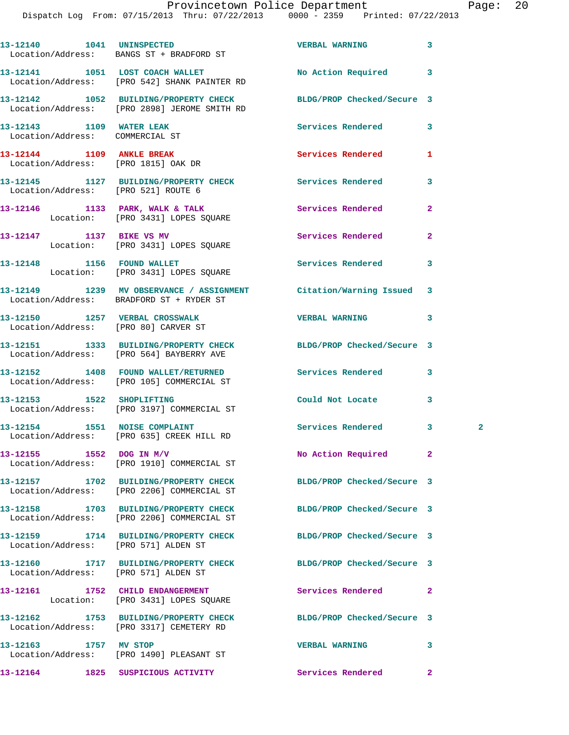|                                                                  | 13-12140    1041    UNINSPECTED<br>Location/Address: BANGS ST + BRADFORD ST                                    | <b>VERBAL WARNING</b>      | 3              |              |
|------------------------------------------------------------------|----------------------------------------------------------------------------------------------------------------|----------------------------|----------------|--------------|
|                                                                  | 13-12141 1051 LOST COACH WALLET<br>Location/Address: [PRO 542] SHANK PAINTER RD                                | No Action Required         | 3              |              |
|                                                                  | 13-12142 1052 BUILDING/PROPERTY CHECK<br>Location/Address: [PRO 2898] JEROME SMITH RD                          | BLDG/PROP Checked/Secure 3 |                |              |
| 13-12143 1109 WATER LEAK<br>Location/Address: COMMERCIAL ST      |                                                                                                                | Services Rendered          | 3              |              |
| 13-12144 1109 ANKLE BREAK<br>Location/Address: [PRO 1815] OAK DR |                                                                                                                | Services Rendered          | 1              |              |
| Location/Address: [PRO 521] ROUTE 6                              | 13-12145 1127 BUILDING/PROPERTY CHECK Services Rendered                                                        |                            | 3              |              |
|                                                                  | 13-12146 1133 PARK, WALK & TALK<br>Location: [PRO 3431] LOPES SQUARE                                           | Services Rendered          | $\overline{a}$ |              |
|                                                                  | 13-12147 1137 BIKE VS MV<br>Location: [PRO 3431] LOPES SQUARE                                                  | Services Rendered          | $\overline{2}$ |              |
|                                                                  | 13-12148 1156 FOUND WALLET<br>Location: [PRO 3431] LOPES SQUARE                                                | <b>Services Rendered</b>   | 3              |              |
|                                                                  | 13-12149 1239 MV OBSERVANCE / ASSIGNMENT Citation/Warning Issued<br>Location/Address: BRADFORD ST + RYDER ST   |                            | 3              |              |
|                                                                  | 13-12150 1257 VERBAL CROSSWALK<br>Location/Address: [PRO 80] CARVER ST                                         | <b>VERBAL WARNING</b>      | 3              |              |
|                                                                  | 13-12151 1333 BUILDING/PROPERTY CHECK BLDG/PROP Checked/Secure 3<br>Location/Address: [PRO 564] BAYBERRY AVE   |                            |                |              |
|                                                                  | 13-12152 1408 FOUND WALLET/RETURNED<br>Location/Address: [PRO 105] COMMERCIAL ST                               | Services Rendered          | 3              |              |
|                                                                  | 13-12153 1522 SHOPLIFTING<br>Location/Address: [PRO 3197] COMMERCIAL ST                                        | Could Not Locate           | 3              |              |
| 13-12154 1551 NOISE COMPLAINT                                    | Location/Address: [PRO 635] CREEK HILL RD                                                                      | Services Rendered 3        |                | $\mathbf{2}$ |
| 13-12155 1552 DOG IN M/V                                         | Location/Address: [PRO 1910] COMMERCIAL ST                                                                     | No Action Required         | $\mathbf{2}$   |              |
|                                                                  | 13-12157 1702 BUILDING/PROPERTY CHECK<br>Location/Address: [PRO 2206] COMMERCIAL ST                            | BLDG/PROP Checked/Secure 3 |                |              |
|                                                                  | 13-12158 1703 BUILDING/PROPERTY CHECK BLDG/PROP Checked/Secure 3<br>Location/Address: [PRO 2206] COMMERCIAL ST |                            |                |              |
| Location/Address: [PRO 571] ALDEN ST                             | 13-12159 1714 BUILDING/PROPERTY CHECK BLDG/PROP Checked/Secure 3                                               |                            |                |              |
| Location/Address: [PRO 571] ALDEN ST                             | 13-12160 1717 BUILDING/PROPERTY CHECK BLDG/PROP Checked/Secure 3                                               |                            |                |              |
|                                                                  | 13-12161 1752 CHILD ENDANGERMENT<br>Location: [PRO 3431] LOPES SQUARE                                          | Services Rendered          | $\overline{a}$ |              |
|                                                                  | 13-12162 1753 BUILDING/PROPERTY CHECK<br>Location/Address: [PRO 3317] CEMETERY RD                              | BLDG/PROP Checked/Secure 3 |                |              |
| 13-12163 1757 MV STOP                                            | Location/Address: [PRO 1490] PLEASANT ST                                                                       | <b>VERBAL WARNING</b>      | 3              |              |
|                                                                  | 13-12164 1825 SUSPICIOUS ACTIVITY Services Rendered                                                            |                            | $\mathbf{2}$   |              |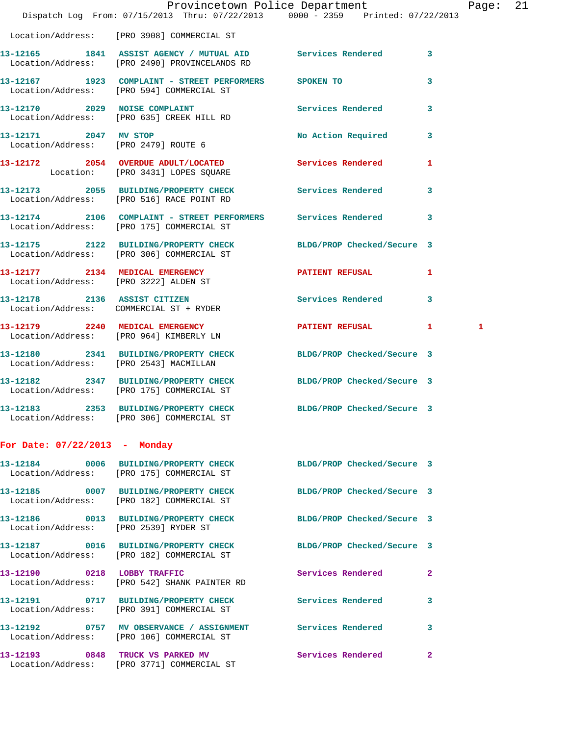|                                        | Dispatch Log From: 07/15/2013 Thru: 07/22/2013 0000 - 2359 Printed: 07/22/2013                                | Provincetown Police Department |              | Page: | 21 |
|----------------------------------------|---------------------------------------------------------------------------------------------------------------|--------------------------------|--------------|-------|----|
|                                        | Location/Address: [PRO 3908] COMMERCIAL ST                                                                    |                                |              |       |    |
|                                        | 13-12165 1841 ASSIST AGENCY / MUTUAL AID Services Rendered 3<br>Location/Address: [PRO 2490] PROVINCELANDS RD |                                |              |       |    |
|                                        | 13-12167 1923 COMPLAINT - STREET PERFORMERS<br>Location/Address: [PRO 594] COMMERCIAL ST                      | SPOKEN TO                      | 3            |       |    |
|                                        | 13-12170 2029 NOISE COMPLAINT<br>Location/Address: [PRO 635] CREEK HILL RD                                    | Services Rendered              | 3            |       |    |
| Location/Address: [PRO 2479] ROUTE 6   | 13-12171 2047 MV STOP                                                                                         | No Action Required             | 3            |       |    |
|                                        | 13-12172 2054 OVERDUE ADULT/LOCATED<br>Location: [PRO 3431] LOPES SQUARE                                      | Services Rendered              | 1            |       |    |
|                                        | 13-12173 2055 BUILDING/PROPERTY CHECK<br>Location/Address: [PRO 516] RACE POINT RD                            | Services Rendered 3            |              |       |    |
|                                        | 13-12174 2106 COMPLAINT - STREET PERFORMERS Services Rendered<br>Location/Address: [PRO 175] COMMERCIAL ST    |                                | 3            |       |    |
|                                        | 13-12175 2122 BUILDING/PROPERTY CHECK BLDG/PROP Checked/Secure 3<br>Location/Address: [PRO 306] COMMERCIAL ST |                                |              |       |    |
| Location/Address: [PRO 3222] ALDEN ST  | 13-12177 2134 MEDICAL EMERGENCY                                                                               | PATIENT REFUSAL                | $\mathbf{1}$ |       |    |
|                                        | 13-12178 2136 ASSIST CITIZEN<br>Location/Address: COMMERCIAL ST + RYDER                                       | Services Rendered 3            |              |       |    |
|                                        | 13-12179 2240 MEDICAL EMERGENCY<br>Location/Address: [PRO 964] KIMBERLY LN                                    | PATIENT REFUSAL                | $\mathbf{1}$ | 1     |    |
| Location/Address: [PRO 2543] MACMILLAN | 13-12180 2341 BUILDING/PROPERTY CHECK BLDG/PROP Checked/Secure 3                                              |                                |              |       |    |
|                                        | 13-12182 2347 BUILDING/PROPERTY CHECK BLDG/PROP Checked/Secure 3<br>Location/Address: [PRO 175] COMMERCIAL ST |                                |              |       |    |
|                                        | 13-12183 2353 BUILDING/PROPERTY CHECK<br>Location/Address: [PRO 306] COMMERCIAL ST                            | BLDG/PROP Checked/Secure 3     |              |       |    |
| For Date: $07/22/2013$ - Monday        |                                                                                                               |                                |              |       |    |
|                                        | 13-12184 0006 BUILDING/PROPERTY CHECK BLDG/PROP Checked/Secure 3<br>Location/Address: [PRO 175] COMMERCIAL ST |                                |              |       |    |
|                                        | 13-12185 0007 BUILDING/PROPERTY CHECK BLDG/PROP Checked/Secure 3<br>Location/Address: [PRO 182] COMMERCIAL ST |                                |              |       |    |
|                                        | 13-12186 0013 BUILDING/PROPERTY CHECK BLDG/PROP Checked/Secure 3<br>Location/Address: [PRO 2539] RYDER ST     |                                |              |       |    |
|                                        | 13-12187 0016 BUILDING/PROPERTY CHECK BLDG/PROP Checked/Secure 3<br>Location/Address: [PRO 182] COMMERCIAL ST |                                |              |       |    |
|                                        | 13-12190 0218 LOBBY TRAFFIC<br>Location/Address: [PRO 542] SHANK PAINTER RD                                   | Services Rendered 2            |              |       |    |
|                                        | 13-12191 0717 BUILDING/PROPERTY CHECK Services Rendered<br>Location/Address: [PRO 391] COMMERCIAL ST          |                                | 3            |       |    |
|                                        | 13-12192 0757 MV OBSERVANCE / ASSIGNMENT Services Rendered 3<br>Location/Address: [PRO 106] COMMERCIAL ST     |                                |              |       |    |
|                                        | 13-12193 0848 TRUCK VS PARKED MV<br>Location/Address: [PRO 3771] COMMERCIAL ST                                | <b>Services Rendered</b>       | $\mathbf{2}$ |       |    |